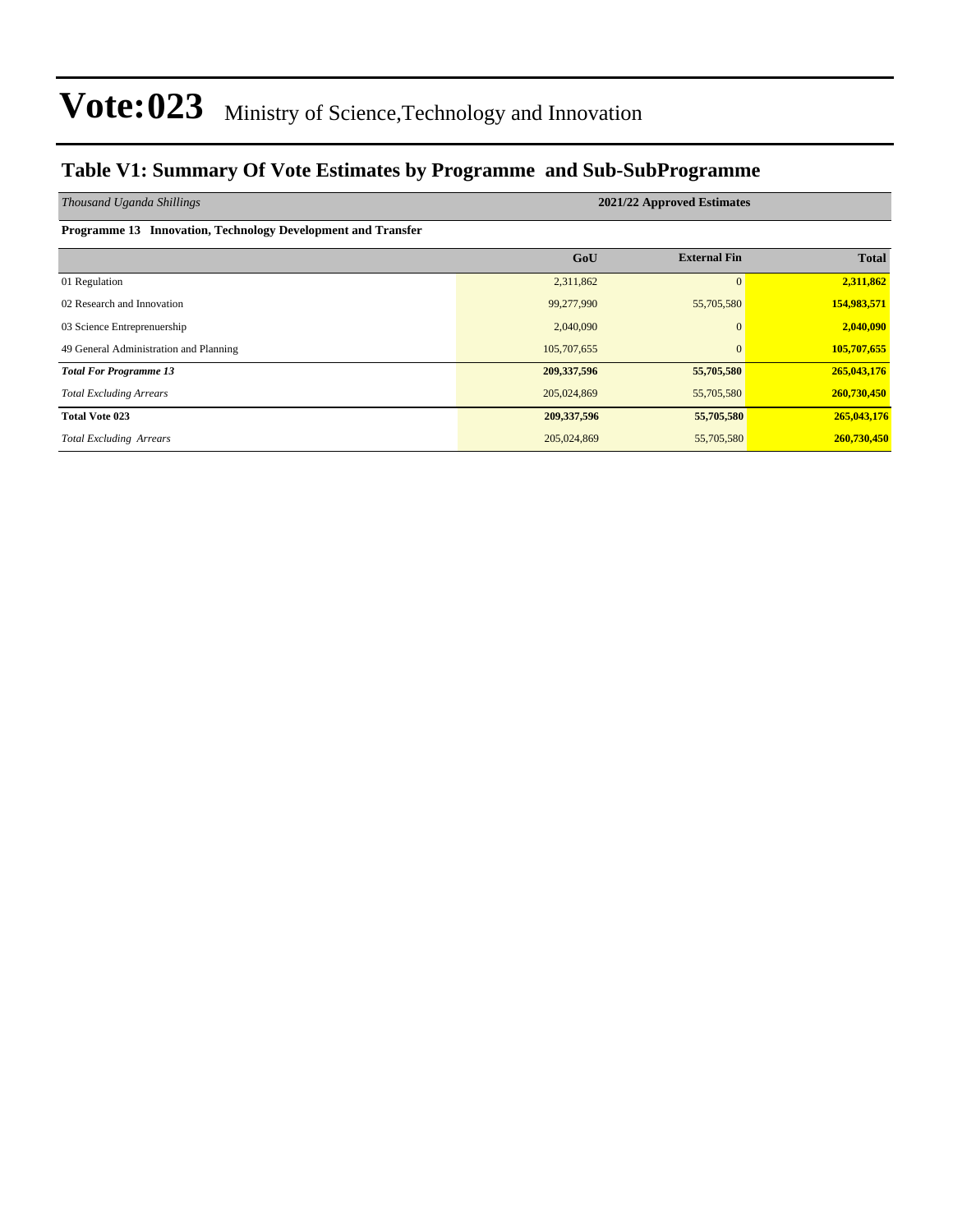#### **Table V1: Summary Of Vote Estimates by Programme and Sub-SubProgramme**

| Thousand Uganda Shillings                                    | 2021/22 Approved Estimates |                     |              |  |  |  |  |  |
|--------------------------------------------------------------|----------------------------|---------------------|--------------|--|--|--|--|--|
| Programme 13 Innovation, Technology Development and Transfer |                            |                     |              |  |  |  |  |  |
|                                                              | GoU                        | <b>External Fin</b> | <b>Total</b> |  |  |  |  |  |
| 01 Regulation                                                | 2,311,862                  | $\mathbf{0}$        | 2,311,862    |  |  |  |  |  |
| 02 Research and Innovation                                   | 99,277,990                 | 55,705,580          | 154,983,571  |  |  |  |  |  |
| 03 Science Entreprenuership                                  | 2,040,090                  | $\Omega$            | 2,040,090    |  |  |  |  |  |
| 49 General Administration and Planning                       | 105,707,655                | $\mathbf{0}$        | 105,707,655  |  |  |  |  |  |
| <b>Total For Programme 13</b>                                | 209, 337, 596              | 55,705,580          | 265,043,176  |  |  |  |  |  |
| <b>Total Excluding Arrears</b>                               | 205,024,869                | 55,705,580          | 260,730,450  |  |  |  |  |  |
| <b>Total Vote 023</b>                                        | 209,337,596                | 55,705,580          | 265,043,176  |  |  |  |  |  |
| <b>Total Excluding Arrears</b>                               | 205,024,869                | 55,705,580          | 260,730,450  |  |  |  |  |  |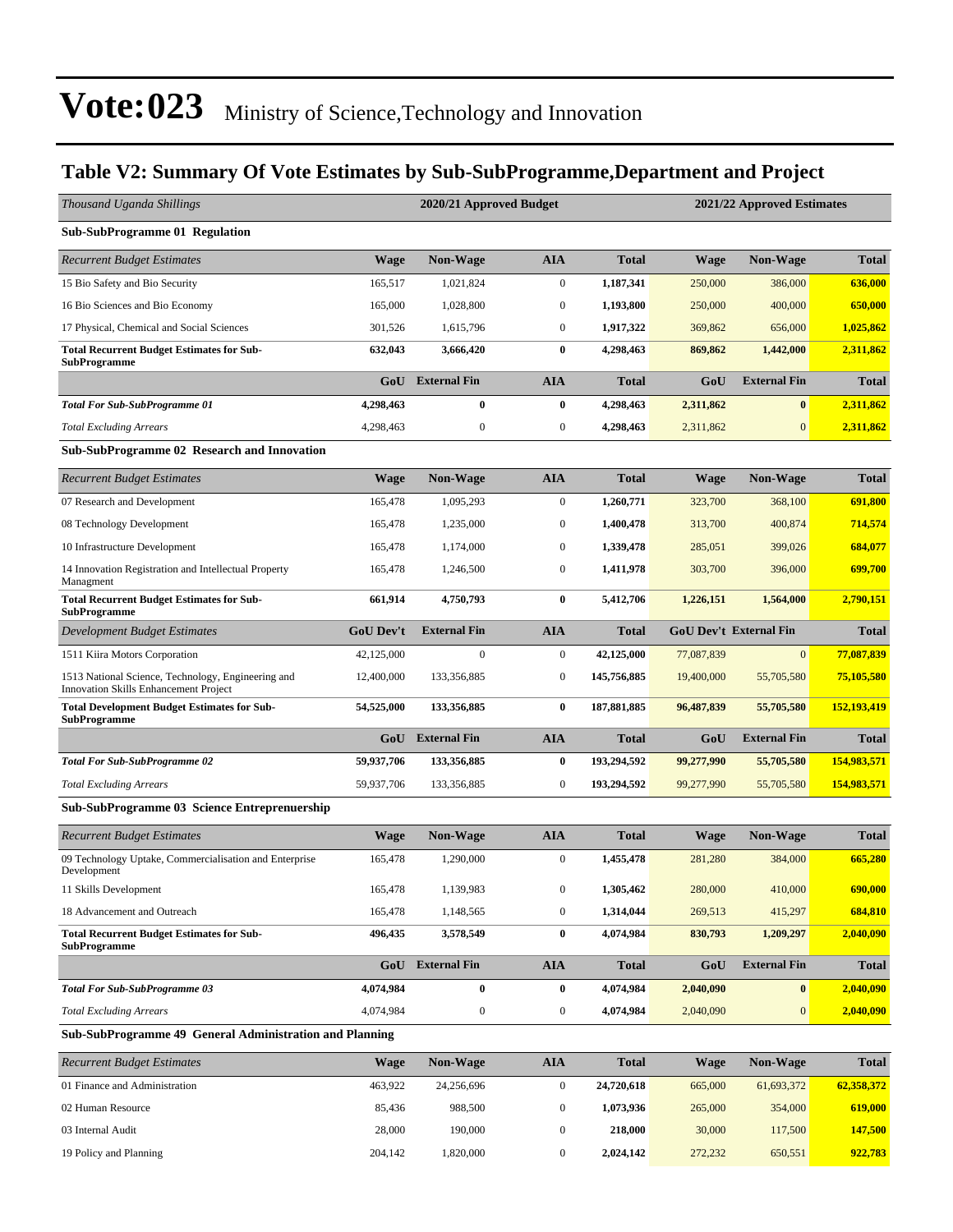#### **Table V2: Summary Of Vote Estimates by Sub-SubProgramme,Department and Project**

| Thousand Uganda Shillings                                                                          |                  | 2020/21 Approved Budget |                  |              | 2021/22 Approved Estimates |                               |              |  |
|----------------------------------------------------------------------------------------------------|------------------|-------------------------|------------------|--------------|----------------------------|-------------------------------|--------------|--|
| <b>Sub-SubProgramme 01 Regulation</b>                                                              |                  |                         |                  |              |                            |                               |              |  |
| <b>Recurrent Budget Estimates</b>                                                                  | <b>Wage</b>      | <b>Non-Wage</b>         | AIA              | <b>Total</b> | <b>Wage</b>                | <b>Non-Wage</b>               | <b>Total</b> |  |
| 15 Bio Safety and Bio Security                                                                     | 165,517          | 1,021,824               | $\boldsymbol{0}$ | 1,187,341    | 250,000                    | 386,000                       | 636,000      |  |
| 16 Bio Sciences and Bio Economy                                                                    | 165,000          | 1,028,800               | $\mathbf{0}$     | 1,193,800    | 250,000                    | 400,000                       | 650,000      |  |
| 17 Physical, Chemical and Social Sciences                                                          | 301,526          | 1,615,796               | $\boldsymbol{0}$ | 1,917,322    | 369,862                    | 656,000                       | 1,025,862    |  |
| <b>Total Recurrent Budget Estimates for Sub-</b><br><b>SubProgramme</b>                            | 632,043          | 3,666,420               | $\bf{0}$         | 4,298,463    | 869,862                    | 1,442,000                     | 2,311,862    |  |
|                                                                                                    | GoU              | <b>External Fin</b>     | <b>AIA</b>       | Total        | GoU                        | <b>External Fin</b>           | <b>Total</b> |  |
| <b>Total For Sub-SubProgramme 01</b>                                                               | 4,298,463        | $\bf{0}$                | $\bf{0}$         | 4,298,463    | 2,311,862                  | $\bf{0}$                      | 2,311,862    |  |
| <b>Total Excluding Arrears</b>                                                                     | 4,298,463        | $\boldsymbol{0}$        | $\boldsymbol{0}$ | 4,298,463    | 2,311,862                  | $\mathbf{0}$                  | 2,311,862    |  |
| <b>Sub-SubProgramme 02 Research and Innovation</b>                                                 |                  |                         |                  |              |                            |                               |              |  |
| <b>Recurrent Budget Estimates</b>                                                                  | <b>Wage</b>      | <b>Non-Wage</b>         | AIA              | <b>Total</b> | <b>Wage</b>                | <b>Non-Wage</b>               | <b>Total</b> |  |
| 07 Research and Development                                                                        | 165,478          | 1,095,293               | $\boldsymbol{0}$ | 1,260,771    | 323,700                    | 368,100                       | 691.800      |  |
| 08 Technology Development                                                                          | 165,478          | 1,235,000               | $\boldsymbol{0}$ | 1,400,478    | 313,700                    | 400,874                       | 714,574      |  |
| 10 Infrastructure Development                                                                      | 165,478          | 1,174,000               | $\mathbf{0}$     | 1,339,478    | 285,051                    | 399,026                       | 684,077      |  |
| 14 Innovation Registration and Intellectual Property<br>Managment                                  | 165,478          | 1,246,500               | $\boldsymbol{0}$ | 1,411,978    | 303,700                    | 396,000                       | 699,700      |  |
| <b>Total Recurrent Budget Estimates for Sub-</b><br><b>SubProgramme</b>                            | 661,914          | 4,750,793               | $\bf{0}$         | 5,412,706    | 1,226,151                  | 1,564,000                     | 2,790,151    |  |
| Development Budget Estimates                                                                       | <b>GoU Dev't</b> | <b>External Fin</b>     | <b>AIA</b>       | <b>Total</b> |                            | <b>GoU Dev't External Fin</b> | <b>Total</b> |  |
| 1511 Kiira Motors Corporation                                                                      | 42,125,000       | $\mathbf{0}$            | $\boldsymbol{0}$ | 42,125,000   | 77,087,839                 | $\mathbf{0}$                  | 77,087,839   |  |
| 1513 National Science, Technology, Engineering and<br><b>Innovation Skills Enhancement Project</b> | 12,400,000       | 133,356,885             | $\boldsymbol{0}$ | 145,756,885  | 19,400,000                 | 55,705,580                    | 75,105,580   |  |
| <b>Total Development Budget Estimates for Sub-</b><br><b>SubProgramme</b>                          | 54,525,000       | 133,356,885             | 0                | 187,881,885  | 96,487,839                 | 55,705,580                    | 152,193,419  |  |
|                                                                                                    | GoU              | <b>External Fin</b>     | <b>AIA</b>       | <b>Total</b> | GoU                        | <b>External Fin</b>           | <b>Total</b> |  |
| <b>Total For Sub-SubProgramme 02</b>                                                               | 59,937,706       | 133,356,885             | $\bf{0}$         | 193,294,592  | 99,277,990                 | 55,705,580                    | 154,983,571  |  |
| <b>Total Excluding Arrears</b>                                                                     | 59,937,706       | 133,356,885             | $\boldsymbol{0}$ | 193,294,592  | 99,277,990                 | 55,705,580                    | 154,983,571  |  |
| Sub-SubProgramme 03 Science Entreprenuership                                                       |                  |                         |                  |              |                            |                               |              |  |
| <b>Recurrent Budget Estimates</b>                                                                  | <b>Wage</b>      | <b>Non-Wage</b>         | AIA              | <b>Total</b> | <b>Wage</b>                | <b>Non-Wage</b>               | <b>Total</b> |  |
| 09 Technology Uptake, Commercialisation and Enterprise<br>Development                              | 165,478          | 1,290,000               | $\boldsymbol{0}$ | 1,455,478    | 281,280                    | 384,000                       | 665,280      |  |
| 11 Skills Development                                                                              | 165,478          | 1,139,983               | $\boldsymbol{0}$ | 1,305,462    | 280,000                    | 410,000                       | 690,000      |  |
| 18 Advancement and Outreach                                                                        | 165,478          | 1,148,565               | $\boldsymbol{0}$ | 1,314,044    | 269,513                    | 415,297                       | 684,810      |  |
| <b>Total Recurrent Budget Estimates for Sub-</b><br><b>SubProgramme</b>                            | 496,435          | 3,578,549               | $\bf{0}$         | 4,074,984    | 830,793                    | 1,209,297                     | 2,040,090    |  |
|                                                                                                    | GoU              | <b>External Fin</b>     | <b>AIA</b>       | <b>Total</b> | GoU                        | <b>External Fin</b>           | <b>Total</b> |  |
| <b>Total For Sub-SubProgramme 03</b>                                                               | 4,074,984        | $\bf{0}$                | 0                | 4,074,984    | 2,040,090                  | $\vert 0 \vert$               | 2,040,090    |  |
| <b>Total Excluding Arrears</b>                                                                     | 4,074,984        | $\boldsymbol{0}$        | $\boldsymbol{0}$ | 4,074,984    | 2,040,090                  | $\mathbf{0}$                  | 2,040,090    |  |
| Sub-SubProgramme 49 General Administration and Planning                                            |                  |                         |                  |              |                            |                               |              |  |
| <b>Recurrent Budget Estimates</b>                                                                  | Wage             | Non-Wage                | AIA              | <b>Total</b> | <b>Wage</b>                | Non-Wage                      | <b>Total</b> |  |

| 01 Finance and Administration | 463.922 | 24.256.696 | 24,720,618 | 665,000 | 61,693,372 | 62,358,372 |
|-------------------------------|---------|------------|------------|---------|------------|------------|
| 02 Human Resource             | 85.436  | 988,500    | 1.073.936  | 265,000 | 354,000    | 619,000    |
| 03 Internal Audit             | 28,000  | 190,000    | 218,000    | 30,000  | 117,500    | 147,500    |
| 19 Policy and Planning        | 204.142 | .820.000   | 2.024.142  | 272,232 | 650,551    | 922.783    |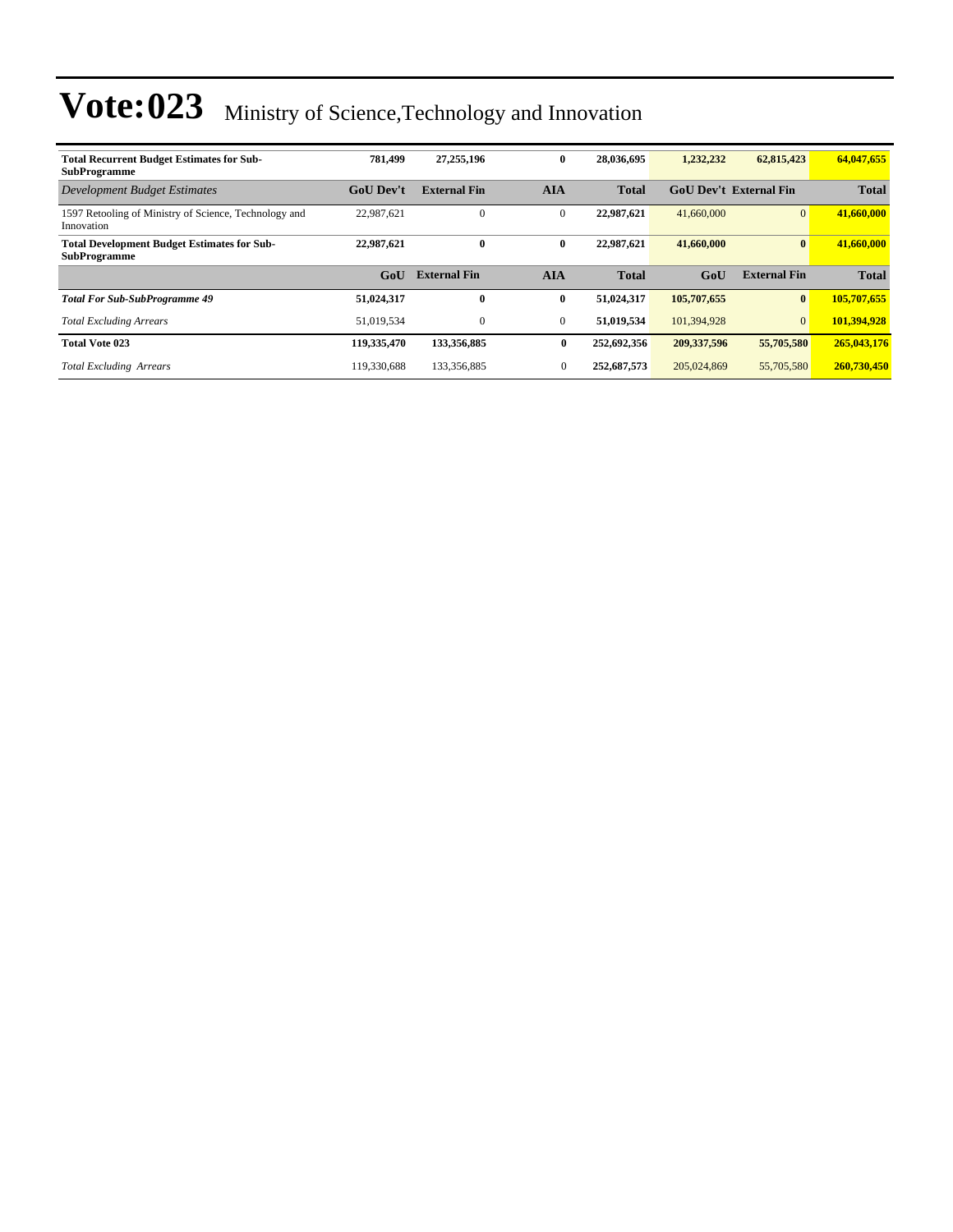| <b>Total Recurrent Budget Estimates for Sub-</b><br><b>SubProgramme</b>   | 781.499          | 27,255,196          | $\bf{0}$     | 28,036,695   | 1,232,232     | 62,815,423                    | 64,047,655   |
|---------------------------------------------------------------------------|------------------|---------------------|--------------|--------------|---------------|-------------------------------|--------------|
| <b>Development Budget Estimates</b>                                       | <b>GoU</b> Dev't | <b>External Fin</b> | <b>AIA</b>   | <b>Total</b> |               | <b>GoU Dev't External Fin</b> | <b>Total</b> |
| 1597 Retooling of Ministry of Science, Technology and<br>Innovation       | 22,987,621       | $\mathbf{0}$        | $\mathbf{0}$ | 22,987,621   | 41,660,000    | $\overline{0}$                | 41,660,000   |
| <b>Total Development Budget Estimates for Sub-</b><br><b>SubProgramme</b> | 22,987,621       | $\mathbf{0}$        | $\bf{0}$     | 22,987,621   | 41,660,000    | $\bf{0}$                      | 41,660,000   |
|                                                                           | GoU              | <b>External Fin</b> | <b>AIA</b>   | <b>Total</b> | GoU           | <b>External Fin</b>           | <b>Total</b> |
| <b>Total For Sub-SubProgramme 49</b>                                      | 51,024,317       | 0                   | $\bf{0}$     | 51,024,317   | 105,707,655   | $\bf{0}$                      | 105,707,655  |
| <b>Total Excluding Arrears</b>                                            | 51,019,534       | $\mathbf{0}$        | $\mathbf{0}$ | 51.019.534   | 101.394.928   | $\overline{0}$                | 101.394.928  |
| <b>Total Vote 023</b>                                                     | 119,335,470      | 133,356,885         | $\bf{0}$     | 252,692,356  | 209, 337, 596 | 55,705,580                    | 265,043,176  |
| <b>Total Excluding Arrears</b>                                            | 119,330,688      | 133,356,885         | $\mathbf{0}$ | 252,687,573  | 205,024,869   | 55,705,580                    | 260,730,450  |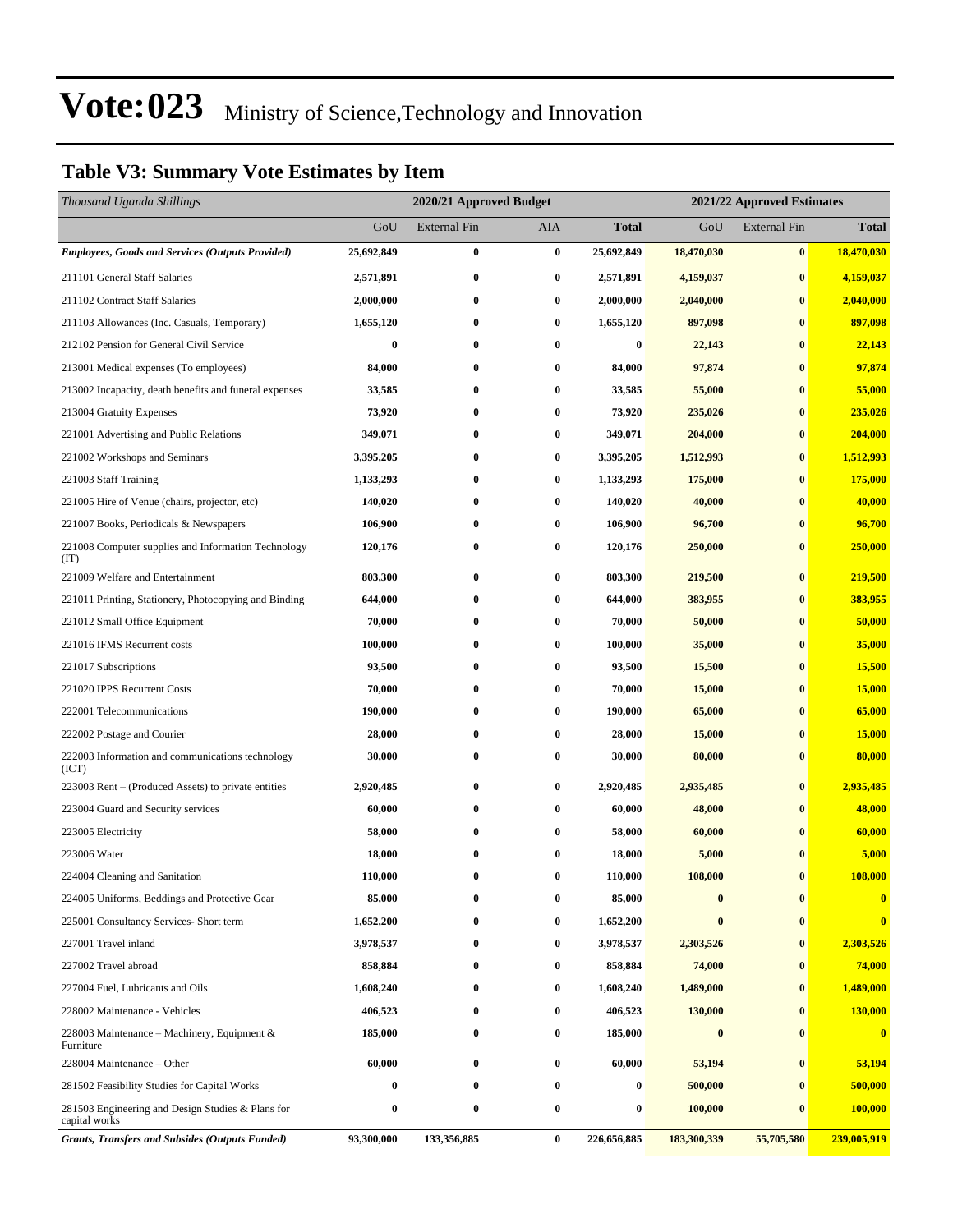#### **Table V3: Summary Vote Estimates by Item**

| Thousand Uganda Shillings                                          |            | 2020/21 Approved Budget |                  |              | 2021/22 Approved Estimates |                     |                |
|--------------------------------------------------------------------|------------|-------------------------|------------------|--------------|----------------------------|---------------------|----------------|
|                                                                    | GoU        | External Fin            | AIA              | <b>Total</b> | GoU                        | <b>External Fin</b> | <b>Total</b>   |
| <b>Employees, Goods and Services (Outputs Provided)</b>            | 25,692,849 | 0                       | $\bf{0}$         | 25,692,849   | 18,470,030                 | $\vert 0 \vert$     | 18,470,030     |
| 211101 General Staff Salaries                                      | 2,571,891  | 0                       | $\bf{0}$         | 2,571,891    | 4,159,037                  | $\bf{0}$            | 4,159,037      |
| 211102 Contract Staff Salaries                                     | 2,000,000  | $\bf{0}$                | $\boldsymbol{0}$ | 2,000,000    | 2,040,000                  | $\bf{0}$            | 2,040,000      |
| 211103 Allowances (Inc. Casuals, Temporary)                        | 1,655,120  | 0                       | $\bf{0}$         | 1,655,120    | 897,098                    | $\bf{0}$            | 897,098        |
| 212102 Pension for General Civil Service                           | $\bf{0}$   | $\bf{0}$                | $\bf{0}$         | $\bf{0}$     | 22,143                     | $\bf{0}$            | 22,143         |
| 213001 Medical expenses (To employees)                             | 84,000     | $\bf{0}$                | $\bf{0}$         | 84,000       | 97,874                     | $\bf{0}$            | 97,874         |
| 213002 Incapacity, death benefits and funeral expenses             | 33,585     | 0                       | $\bf{0}$         | 33,585       | 55,000                     | $\bf{0}$            | 55,000         |
| 213004 Gratuity Expenses                                           | 73,920     | $\bf{0}$                | $\bf{0}$         | 73,920       | 235,026                    | $\bf{0}$            | 235,026        |
| 221001 Advertising and Public Relations                            | 349,071    | 0                       | $\bf{0}$         | 349,071      | 204,000                    | $\bf{0}$            | 204,000        |
| 221002 Workshops and Seminars                                      | 3,395,205  | $\bf{0}$                | $\bf{0}$         | 3,395,205    | 1,512,993                  | $\bf{0}$            | 1,512,993      |
| 221003 Staff Training                                              | 1,133,293  | $\bf{0}$                | $\bf{0}$         | 1,133,293    | 175,000                    | $\bf{0}$            | 175,000        |
| 221005 Hire of Venue (chairs, projector, etc)                      | 140,020    | 0                       | $\bf{0}$         | 140,020      | 40,000                     | $\bf{0}$            | 40,000         |
| 221007 Books, Periodicals & Newspapers                             | 106,900    | $\bf{0}$                | $\bf{0}$         | 106,900      | 96,700                     | $\bf{0}$            | 96,700         |
| 221008 Computer supplies and Information Technology<br>(TT)        | 120,176    | 0                       | $\bf{0}$         | 120,176      | 250,000                    | $\bf{0}$            | 250,000        |
| 221009 Welfare and Entertainment                                   | 803,300    | $\bf{0}$                | $\bf{0}$         | 803,300      | 219,500                    | $\bf{0}$            | 219,500        |
| 221011 Printing, Stationery, Photocopying and Binding              | 644,000    | $\bf{0}$                | $\bf{0}$         | 644,000      | 383,955                    | $\bf{0}$            | 383,955        |
| 221012 Small Office Equipment                                      | 70,000     | $\bf{0}$                | $\bf{0}$         | 70,000       | 50,000                     | $\bf{0}$            | 50,000         |
| 221016 IFMS Recurrent costs                                        | 100,000    | 0                       | $\bf{0}$         | 100,000      | 35,000                     | $\bf{0}$            | 35,000         |
| 221017 Subscriptions                                               | 93,500     | $\bf{0}$                | $\bf{0}$         | 93,500       | 15,500                     | $\bf{0}$            | 15,500         |
| 221020 IPPS Recurrent Costs                                        | 70,000     | $\bf{0}$                | 0                | 70,000       | 15,000                     | $\bf{0}$            | 15,000         |
| 222001 Telecommunications                                          | 190,000    | 0                       | $\bf{0}$         | 190,000      | 65,000                     | $\bf{0}$            | 65,000         |
| 222002 Postage and Courier                                         | 28,000     | $\bf{0}$                | $\bf{0}$         | 28,000       | 15,000                     | $\bf{0}$            | 15,000         |
| 222003 Information and communications technology<br>(ICT)          | 30,000     | $\bf{0}$                | $\bf{0}$         | 30,000       | 80,000                     | $\bf{0}$            | 80,000         |
| 223003 Rent – (Produced Assets) to private entities                | 2,920,485  | 0                       | $\bf{0}$         | 2,920,485    | 2,935,485                  | $\bf{0}$            | 2,935,485      |
| 223004 Guard and Security services                                 | 60,000     | $\bf{0}$                | $\bf{0}$         | 60,000       | 48,000                     | $\bf{0}$            | 48,000         |
| 223005 Electricity                                                 | 58,000     | 0                       | $\bf{0}$         | 58,000       | 60,000                     | $\bf{0}$            | 60,000         |
| 223006 Water                                                       | 18,000     | $\bf{0}$                | $\bf{0}$         | 18,000       | 5,000                      | $\bf{0}$            | 5,000          |
| 224004 Cleaning and Sanitation                                     | 110,000    | $\bf{0}$                | $\bf{0}$         | 110,000      | 108,000                    | $\bf{0}$            | 108,000        |
| 224005 Uniforms, Beddings and Protective Gear                      | 85,000     | 0                       | $\bf{0}$         | 85,000       | $\bf{0}$                   | $\bf{0}$            | $\bf{0}$       |
| 225001 Consultancy Services- Short term                            | 1,652,200  | $\bf{0}$                | $\bf{0}$         | 1,652,200    | $\bf{0}$                   | $\bf{0}$            | $\bf{0}$       |
| 227001 Travel inland                                               | 3,978,537  | 0                       | 0                | 3,978,537    | 2,303,526                  | $\bf{0}$            | 2,303,526      |
| 227002 Travel abroad                                               | 858,884    | $\bf{0}$                | 0                | 858,884      | 74,000                     | $\bf{0}$            | 74,000         |
| 227004 Fuel, Lubricants and Oils                                   | 1,608,240  | $\bf{0}$                | 0                | 1,608,240    | 1,489,000                  | $\bf{0}$            | 1,489,000      |
| 228002 Maintenance - Vehicles                                      | 406,523    | 0                       | $\bf{0}$         | 406,523      | 130,000                    | $\bf{0}$            | 130,000        |
| 228003 Maintenance - Machinery, Equipment &<br>Furniture           | 185,000    | $\bf{0}$                | $\bf{0}$         | 185,000      | $\bf{0}$                   | $\bf{0}$            | $\bf{0}$       |
| 228004 Maintenance - Other                                         | 60,000     | $\bf{0}$                | $\bf{0}$         | 60,000       | 53,194                     | $\bf{0}$            | 53,194         |
| 281502 Feasibility Studies for Capital Works                       | $\bf{0}$   | 0                       | $\bf{0}$         | 0            | 500,000                    | $\bf{0}$            | 500,000        |
| 281503 Engineering and Design Studies & Plans for<br>capital works | 0          | 0                       | $\bf{0}$         | 0            | 100,000                    | $\bf{0}$            | <b>100,000</b> |
| <b>Grants, Transfers and Subsides (Outputs Funded)</b>             | 93,300,000 | 133,356,885             | $\bf{0}$         | 226,656,885  | 183,300,339                | 55,705,580          | 239,005,919    |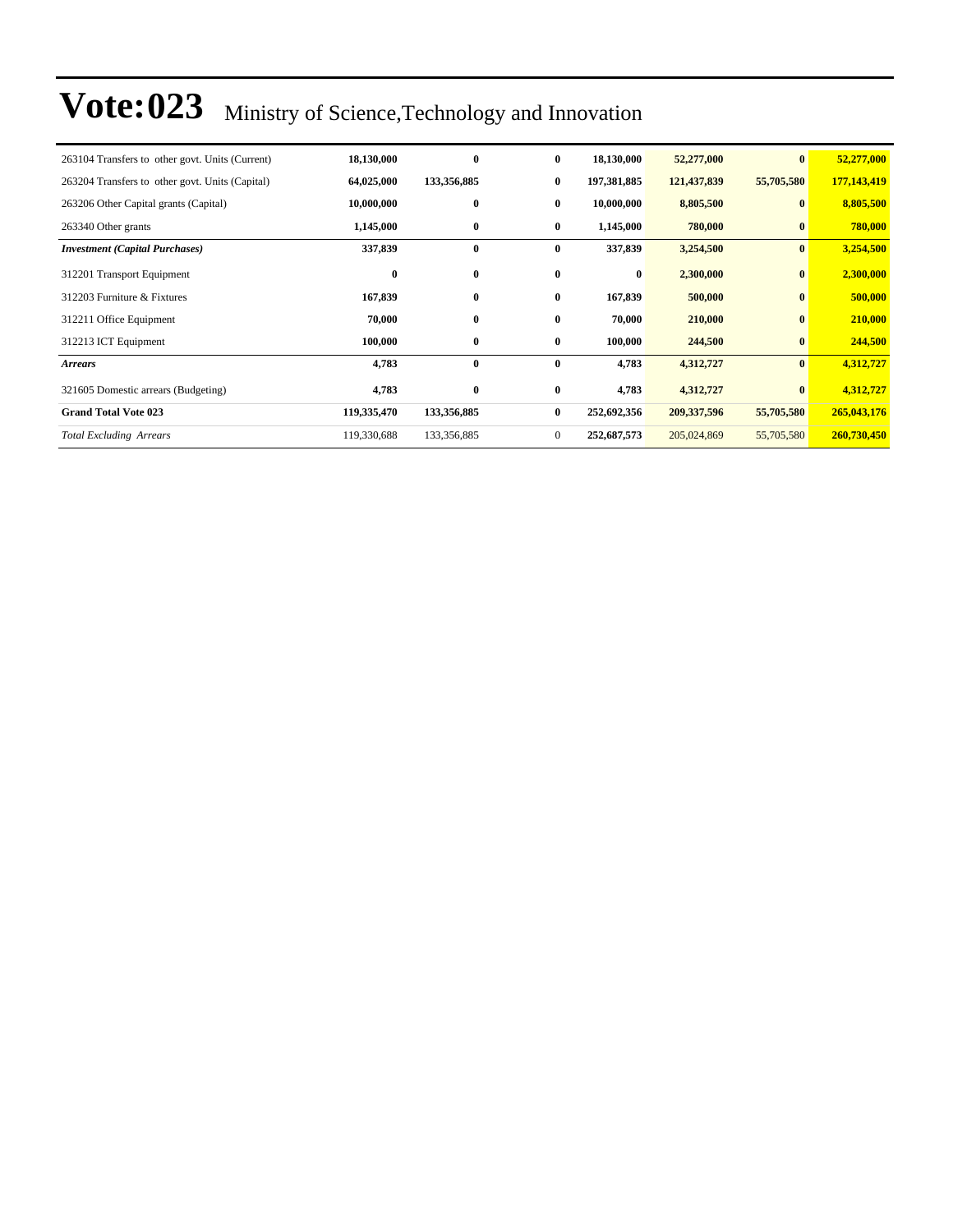| 263104 Transfers to other govt. Units (Current) | 18,130,000  | $\bf{0}$    | $\bf{0}$       | 18,130,000  | 52,277,000  | $\bf{0}$     | 52,277,000  |
|-------------------------------------------------|-------------|-------------|----------------|-------------|-------------|--------------|-------------|
| 263204 Transfers to other govt. Units (Capital) | 64,025,000  | 133,356,885 | $\bf{0}$       | 197,381,885 | 121,437,839 | 55,705,580   | 177,143,419 |
| 263206 Other Capital grants (Capital)           | 10,000,000  | $\bf{0}$    | $\bf{0}$       | 10,000,000  | 8,805,500   | $\mathbf{0}$ | 8,805,500   |
| 263340 Other grants                             | 1,145,000   | $\bf{0}$    | $\bf{0}$       | 1,145,000   | 780,000     | $\bf{0}$     | 780,000     |
| <b>Investment</b> (Capital Purchases)           | 337,839     | $\bf{0}$    | $\bf{0}$       | 337,839     | 3,254,500   | $\bf{0}$     | 3,254,500   |
| 312201 Transport Equipment                      | $\bf{0}$    | $\bf{0}$    | $\bf{0}$       | $\bf{0}$    | 2,300,000   | $\bf{0}$     | 2,300,000   |
| 312203 Furniture & Fixtures                     | 167,839     | $\bf{0}$    | $\bf{0}$       | 167,839     | 500,000     | $\bf{0}$     | 500,000     |
| 312211 Office Equipment                         | 70,000      | $\bf{0}$    | $\bf{0}$       | 70,000      | 210,000     | $\bf{0}$     | 210,000     |
| 312213 ICT Equipment                            | 100,000     | $\bf{0}$    | $\bf{0}$       | 100,000     | 244,500     | $\bf{0}$     | 244,500     |
| <b>Arrears</b>                                  | 4,783       | $\bf{0}$    | $\bf{0}$       | 4,783       | 4,312,727   | $\bf{0}$     | 4,312,727   |
| 321605 Domestic arrears (Budgeting)             | 4,783       | $\bf{0}$    | $\bf{0}$       | 4,783       | 4,312,727   |              | 4,312,727   |
| <b>Grand Total Vote 023</b>                     | 119,335,470 | 133,356,885 | $\bf{0}$       | 252,692,356 | 209,337,596 | 55,705,580   | 265,043,176 |
| <b>Total Excluding Arrears</b>                  | 119,330,688 | 133,356,885 | $\overline{0}$ | 252,687,573 | 205,024,869 | 55,705,580   | 260,730,450 |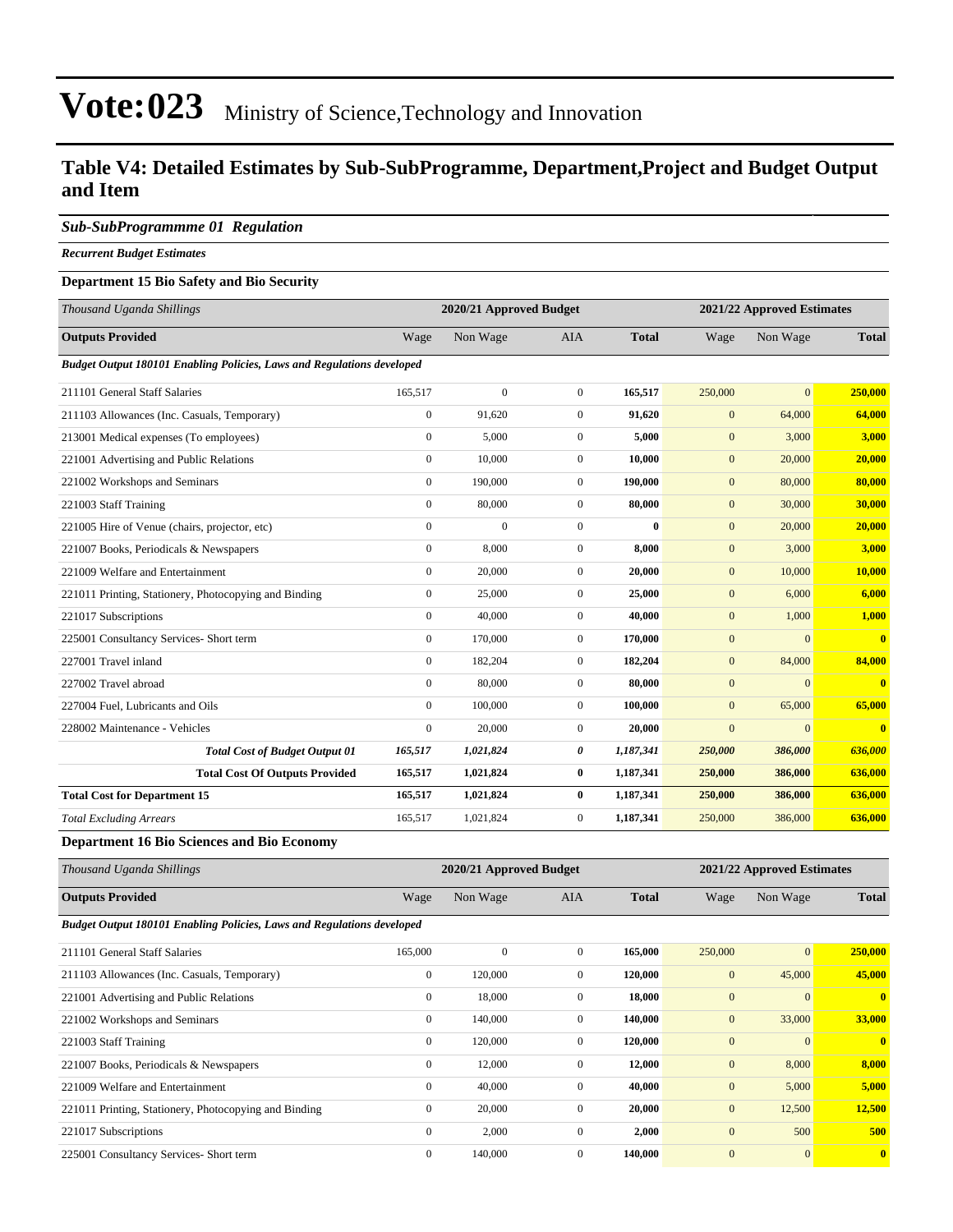#### **Table V4: Detailed Estimates by Sub-SubProgramme, Department,Project and Budget Output and Item**

#### *Sub-SubProgrammme 01 Regulation*

*Recurrent Budget Estimates*

#### **Department 15 Bio Safety and Bio Security**

| Thousand Uganda Shillings                                              |                  | 2020/21 Approved Budget |                |              |              | 2021/22 Approved Estimates |                         |
|------------------------------------------------------------------------|------------------|-------------------------|----------------|--------------|--------------|----------------------------|-------------------------|
| <b>Outputs Provided</b>                                                | Wage             | Non Wage                | <b>AIA</b>     | <b>Total</b> | Wage         | Non Wage                   | <b>Total</b>            |
| Budget Output 180101 Enabling Policies, Laws and Regulations developed |                  |                         |                |              |              |                            |                         |
| 211101 General Staff Salaries                                          | 165,517          | $\theta$                | $\overline{0}$ | 165,517      | 250,000      | $\overline{0}$             | 250,000                 |
| 211103 Allowances (Inc. Casuals, Temporary)                            | $\mathbf{0}$     | 91.620                  | $\overline{0}$ | 91.620       | $\mathbf{0}$ | 64,000                     | 64,000                  |
| 213001 Medical expenses (To employees)                                 | $\mathbf{0}$     | 5,000                   | $\overline{0}$ | 5,000        | $\mathbf{0}$ | 3,000                      | 3,000                   |
| 221001 Advertising and Public Relations                                | $\mathbf{0}$     | 10,000                  | $\overline{0}$ | 10,000       | $\mathbf{0}$ | 20,000                     | 20,000                  |
| 221002 Workshops and Seminars                                          | $\mathbf{0}$     | 190,000                 | $\overline{0}$ | 190,000      | $\mathbf{0}$ | 80,000                     | 80,000                  |
| 221003 Staff Training                                                  | $\mathbf{0}$     | 80,000                  | $\overline{0}$ | 80,000       | $\mathbf{0}$ | 30,000                     | 30,000                  |
| 221005 Hire of Venue (chairs, projector, etc)                          | $\mathbf{0}$     | $\theta$                | $\mathbf{0}$   | $\mathbf{0}$ | $\mathbf{0}$ | 20,000                     | 20,000                  |
| 221007 Books, Periodicals & Newspapers                                 | $\mathbf{0}$     | 8,000                   | $\overline{0}$ | 8,000        | $\mathbf{0}$ | 3,000                      | 3,000                   |
| 221009 Welfare and Entertainment                                       | $\mathbf{0}$     | 20,000                  | $\overline{0}$ | 20,000       | $\mathbf{0}$ | 10,000                     | 10,000                  |
| 221011 Printing, Stationery, Photocopying and Binding                  | $\mathbf{0}$     | 25,000                  | $\overline{0}$ | 25,000       | $\mathbf{0}$ | 6,000                      | 6,000                   |
| 221017 Subscriptions                                                   | $\mathbf{0}$     | 40,000                  | $\overline{0}$ | 40,000       | $\mathbf{0}$ | 1,000                      | 1,000                   |
| 225001 Consultancy Services- Short term                                | $\mathbf{0}$     | 170,000                 | $\overline{0}$ | 170,000      | $\mathbf{0}$ | $\mathbf{0}$               | $\mathbf{0}$            |
| 227001 Travel inland                                                   | $\mathbf{0}$     | 182,204                 | $\overline{0}$ | 182,204      | $\mathbf{0}$ | 84,000                     | 84,000                  |
| 227002 Travel abroad                                                   | $\mathbf{0}$     | 80,000                  | $\overline{0}$ | 80,000       | $\mathbf{0}$ | $\mathbf{0}$               | $\overline{\mathbf{0}}$ |
| 227004 Fuel. Lubricants and Oils                                       | $\mathbf{0}$     | 100,000                 | $\overline{0}$ | 100,000      | $\mathbf{0}$ | 65,000                     | 65,000                  |
| 228002 Maintenance - Vehicles                                          | $\boldsymbol{0}$ | 20,000                  | $\overline{0}$ | 20,000       | $\mathbf{0}$ | $\mathbf{0}$               | $\bf{0}$                |
| <b>Total Cost of Budget Output 01</b>                                  | 165,517          | 1,021,824               | 0              | 1,187,341    | 250,000      | 386,000                    | 636,000                 |
| <b>Total Cost Of Outputs Provided</b>                                  | 165,517          | 1,021,824               | $\bf{0}$       | 1,187,341    | 250,000      | 386,000                    | 636,000                 |
| <b>Total Cost for Department 15</b>                                    | 165,517          | 1,021,824               | $\bf{0}$       | 1,187,341    | 250,000      | 386,000                    | 636,000                 |
| <b>Total Excluding Arrears</b>                                         | 165,517          | 1,021,824               | $\mathbf{0}$   | 1,187,341    | 250,000      | 386,000                    | 636,000                 |

**Department 16 Bio Sciences and Bio Economy**

| Thousand Uganda Shillings                                                     |              | 2020/21 Approved Budget |              |              |                  | 2021/22 Approved Estimates |              |  |  |
|-------------------------------------------------------------------------------|--------------|-------------------------|--------------|--------------|------------------|----------------------------|--------------|--|--|
| <b>Outputs Provided</b>                                                       | Wage         | Non Wage                | AIA          | <b>Total</b> | Wage             | Non Wage                   | <b>Total</b> |  |  |
| <b>Budget Output 180101 Enabling Policies, Laws and Regulations developed</b> |              |                         |              |              |                  |                            |              |  |  |
| 211101 General Staff Salaries                                                 | 165,000      | $\mathbf{0}$            | $\mathbf{0}$ | 165,000      | 250,000          | $\mathbf{0}$               | 250,000      |  |  |
| 211103 Allowances (Inc. Casuals, Temporary)                                   | $\mathbf{0}$ | 120,000                 | $\mathbf{0}$ | 120,000      | $\mathbf{0}$     | 45,000                     | 45,000       |  |  |
| 221001 Advertising and Public Relations                                       | $\mathbf{0}$ | 18,000                  | $\mathbf{0}$ | 18,000       | $\overline{0}$   | $\Omega$                   | $\mathbf{0}$ |  |  |
| 221002 Workshops and Seminars                                                 | $\mathbf{0}$ | 140,000                 | $\mathbf{0}$ | 140,000      | $\mathbf{0}$     | 33,000                     | 33,000       |  |  |
| 221003 Staff Training                                                         | $\mathbf{0}$ | 120,000                 | $\mathbf{0}$ | 120,000      | $\mathbf{0}$     | $\Omega$                   | $\mathbf{0}$ |  |  |
| 221007 Books, Periodicals & Newspapers                                        | $\mathbf{0}$ | 12,000                  | $\mathbf{0}$ | 12,000       | $\boldsymbol{0}$ | 8,000                      | 8,000        |  |  |
| 221009 Welfare and Entertainment                                              | $\mathbf{0}$ | 40,000                  | $\mathbf{0}$ | 40,000       | $\mathbf{0}$     | 5,000                      | 5,000        |  |  |
| 221011 Printing, Stationery, Photocopying and Binding                         | $\mathbf{0}$ | 20,000                  | $\mathbf{0}$ | 20,000       | $\mathbf{0}$     | 12,500                     | 12,500       |  |  |
| 221017 Subscriptions                                                          | $\mathbf{0}$ | 2,000                   | $\mathbf{0}$ | 2,000        | $\mathbf{0}$     | 500                        | 500          |  |  |
| 225001 Consultancy Services- Short term                                       | $\mathbf{0}$ | 140,000                 | $\mathbf{0}$ | 140,000      | $\overline{0}$   | $\mathbf{0}$               | $\mathbf{0}$ |  |  |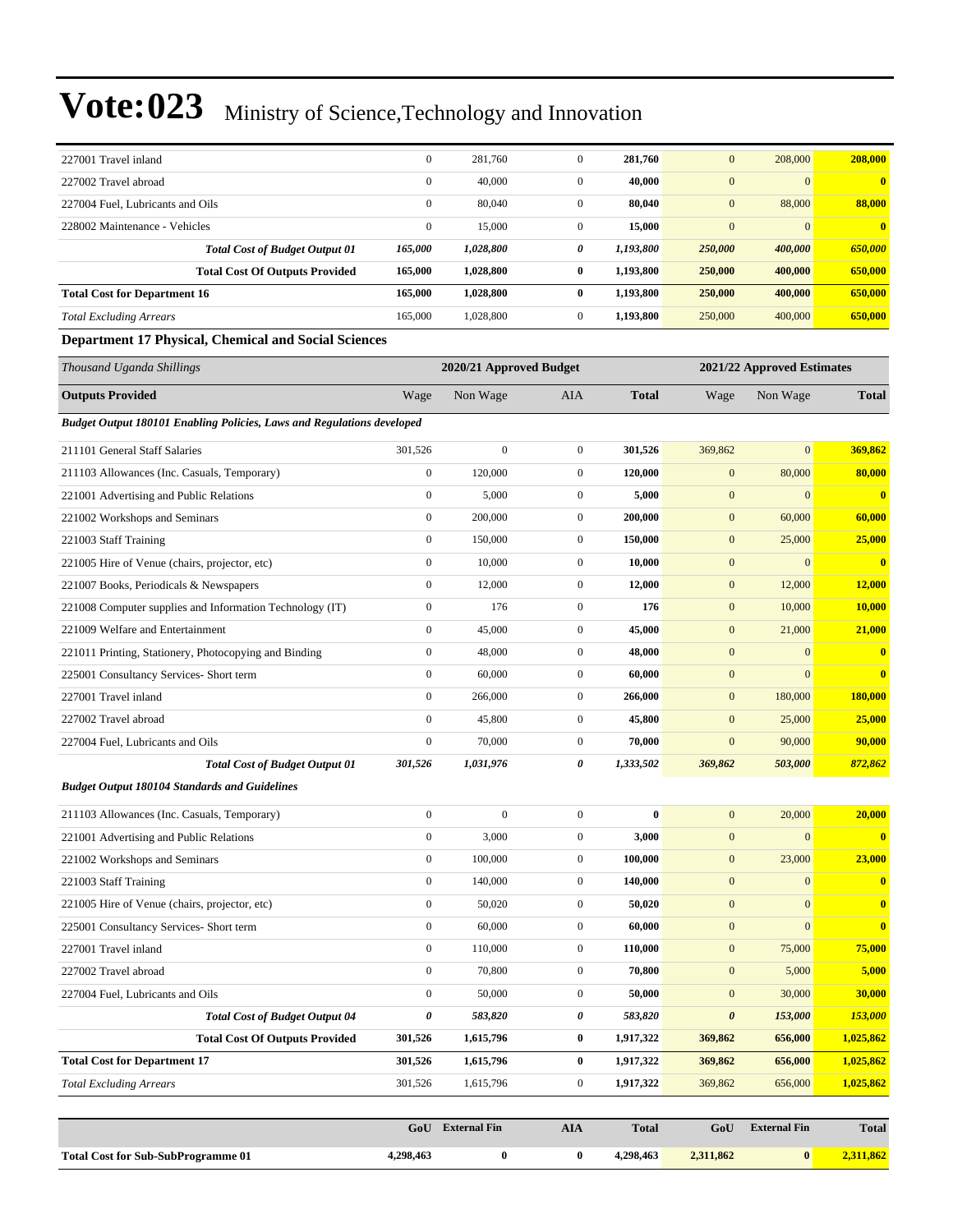|                                                                               | GoU              | <b>External Fin</b>     | <b>AIA</b>       | <b>Total</b> | GoU                   | <b>External Fin</b>        | <b>Total</b> |
|-------------------------------------------------------------------------------|------------------|-------------------------|------------------|--------------|-----------------------|----------------------------|--------------|
|                                                                               |                  |                         |                  |              |                       |                            |              |
| <b>Total Excluding Arrears</b>                                                | 301,526          | 1,615,796               | $\boldsymbol{0}$ | 1,917,322    | 369,862               | 656,000                    | 1,025,862    |
| <b>Total Cost for Department 17</b>                                           | 301,526          | 1,615,796               | $\bf{0}$         | 1,917,322    | 369,862               | 656,000                    | 1,025,862    |
| <b>Total Cost Of Outputs Provided</b>                                         | 301,526          | 1,615,796               | $\bf{0}$         | 1,917,322    | 369,862               | 656,000                    | 1,025,862    |
| <b>Total Cost of Budget Output 04</b>                                         | $\pmb{\theta}$   | 583,820                 | 0                | 583,820      | $\boldsymbol{\theta}$ | 153,000                    | 153,000      |
| 227004 Fuel, Lubricants and Oils                                              | $\boldsymbol{0}$ | 50,000                  | $\boldsymbol{0}$ | 50,000       | $\boldsymbol{0}$      | 30,000                     | 30,000       |
| 227002 Travel abroad                                                          | $\boldsymbol{0}$ | 70,800                  | $\boldsymbol{0}$ | 70,800       | $\boldsymbol{0}$      | 5,000                      | 5,000        |
| 227001 Travel inland                                                          | $\boldsymbol{0}$ | 110,000                 | $\boldsymbol{0}$ | 110,000      | $\boldsymbol{0}$      | 75,000                     | 75,000       |
| 225001 Consultancy Services- Short term                                       | $\boldsymbol{0}$ | 60,000                  | $\boldsymbol{0}$ | 60,000       | $\boldsymbol{0}$      | $\mathbf{0}$               | $\bf{0}$     |
| 221005 Hire of Venue (chairs, projector, etc)                                 | $\boldsymbol{0}$ | 50,020                  | $\boldsymbol{0}$ | 50,020       | $\boldsymbol{0}$      | $\boldsymbol{0}$           | $\mathbf{0}$ |
| 221003 Staff Training                                                         | $\boldsymbol{0}$ | 140,000                 | $\boldsymbol{0}$ | 140,000      | $\mathbf{0}$          | $\boldsymbol{0}$           | $\bf{0}$     |
| 221002 Workshops and Seminars                                                 | $\boldsymbol{0}$ | 100,000                 | $\overline{0}$   | 100,000      | $\boldsymbol{0}$      | 23,000                     | 23,000       |
| 221001 Advertising and Public Relations                                       | $\boldsymbol{0}$ | 3,000                   | $\mathbf{0}$     | 3,000        | $\mathbf{0}$          | $\mathbf{0}$               | $\mathbf{0}$ |
| 211103 Allowances (Inc. Casuals, Temporary)                                   | $\boldsymbol{0}$ | $\boldsymbol{0}$        | $\boldsymbol{0}$ | $\bf{0}$     | $\mathbf{0}$          | 20,000                     | 20,000       |
| <b>Budget Output 180104 Standards and Guidelines</b>                          |                  |                         |                  |              |                       |                            |              |
| <b>Total Cost of Budget Output 01</b>                                         | 301,526          | 1,031,976               | 0                | 1,333,502    | 369,862               | 503,000                    | 872,862      |
| 227004 Fuel, Lubricants and Oils                                              | $\boldsymbol{0}$ | 70,000                  | $\mathbf{0}$     | 70,000       | $\mathbf{0}$          | 90,000                     | 90,000       |
| 227002 Travel abroad                                                          | $\boldsymbol{0}$ | 45,800                  | $\mathbf{0}$     | 45,800       | $\mathbf{0}$          | 25,000                     | 25,000       |
| 227001 Travel inland                                                          | $\boldsymbol{0}$ | 266,000                 | $\mathbf{0}$     | 266,000      | $\mathbf{0}$          | 180,000                    | 180,000      |
| 225001 Consultancy Services- Short term                                       | $\boldsymbol{0}$ | 60,000                  | $\mathbf{0}$     | 60,000       | $\mathbf{0}$          | $\mathbf{0}$               | $\bf{0}$     |
| 221011 Printing, Stationery, Photocopying and Binding                         | $\boldsymbol{0}$ | 48,000                  | $\boldsymbol{0}$ | 48,000       | $\mathbf{0}$          | $\mathbf{0}$               | $\mathbf{0}$ |
| 221009 Welfare and Entertainment                                              | $\boldsymbol{0}$ | 45,000                  | $\mathbf{0}$     | 45,000       | $\mathbf{0}$          | 21,000                     | 21,000       |
| 221008 Computer supplies and Information Technology (IT)                      | $\boldsymbol{0}$ | 176                     | $\mathbf{0}$     | 176          | $\mathbf{0}$          | 10,000                     | 10,000       |
| 221007 Books, Periodicals & Newspapers                                        | $\boldsymbol{0}$ | 12,000                  | $\mathbf{0}$     | 12,000       | $\mathbf{0}$          | 12,000                     | 12,000       |
| 221005 Hire of Venue (chairs, projector, etc)                                 | $\boldsymbol{0}$ | 10,000                  | $\mathbf{0}$     | 10,000       | $\mathbf{0}$          | $\mathbf{0}$               | $\mathbf{0}$ |
| 221003 Staff Training                                                         | $\boldsymbol{0}$ | 150,000                 | $\boldsymbol{0}$ | 150,000      | $\mathbf{0}$          | 25,000                     | 25,000       |
| 221002 Workshops and Seminars                                                 | $\boldsymbol{0}$ | 200,000                 | $\mathbf{0}$     | 200,000      | $\mathbf{0}$          | 60,000                     | 60,000       |
| 221001 Advertising and Public Relations                                       | $\boldsymbol{0}$ | 5,000                   | $\mathbf{0}$     | 5,000        | $\mathbf{0}$          | $\mathbf{0}$               | $\bf{0}$     |
| 211103 Allowances (Inc. Casuals, Temporary)                                   | $\boldsymbol{0}$ | 120,000                 | $\mathbf{0}$     | 120,000      | $\mathbf{0}$          | 80,000                     | 80,000       |
| 211101 General Staff Salaries                                                 | 301.526          | $\boldsymbol{0}$        | $\boldsymbol{0}$ | 301,526      | 369,862               | $\mathbf{0}$               | 369,862      |
| <b>Budget Output 180101 Enabling Policies, Laws and Regulations developed</b> |                  |                         |                  |              |                       |                            |              |
| <b>Outputs Provided</b>                                                       | Wage             | Non Wage                | AIA              | <b>Total</b> | Wage                  | Non Wage                   | <b>Total</b> |
| Thousand Uganda Shillings                                                     |                  | 2020/21 Approved Budget |                  |              |                       | 2021/22 Approved Estimates |              |
| <b>Department 17 Physical, Chemical and Social Sciences</b>                   |                  |                         |                  |              |                       |                            |              |
| <b>Total Excluding Arrears</b>                                                | 165,000          | 1,028,800               | $\boldsymbol{0}$ | 1,193,800    | 250,000               | 400,000                    | 650,000      |
| <b>Total Cost for Department 16</b>                                           | 165,000          | 1,028,800               | $\bf{0}$         | 1,193,800    | 250,000               | 400,000                    | 650,000      |
| <b>Total Cost Of Outputs Provided</b>                                         | 165,000          | 1,028,800               | $\bf{0}$         | 1,193,800    | 250,000               | 400,000                    | 650,000      |
| <b>Total Cost of Budget Output 01</b>                                         | 165,000          | 1,028,800               | 0                | 1,193,800    | 250,000               | 400,000                    | 650,000      |
| 228002 Maintenance - Vehicles                                                 | $\boldsymbol{0}$ | 15,000                  | $\mathbf{0}$     | 15,000       | $\mathbf{0}$          | $\mathbf{0}$               | $\bf{0}$     |
| 227004 Fuel, Lubricants and Oils                                              | $\boldsymbol{0}$ | 80,040                  | $\boldsymbol{0}$ | 80,040       | $\mathbf{0}$          | 88,000                     | 88,000       |
| 227002 Travel abroad                                                          | $\mathbf{0}$     | 40,000                  | $\boldsymbol{0}$ | 40,000       | $\mathbf{0}$          | $\mathbf{0}$               | $\bf{0}$     |
| 227001 Travel inland                                                          | $\boldsymbol{0}$ | 281,760                 | $\mathbf{0}$     | 281,760      | $\mathbf{0}$          | 208,000                    | 208,000      |
|                                                                               |                  |                         |                  |              |                       |                            |              |

**Total Cost for Sub-SubProgramme 01 4,298,463 0 0 4,298,463 2,311,862 0 2,311,862**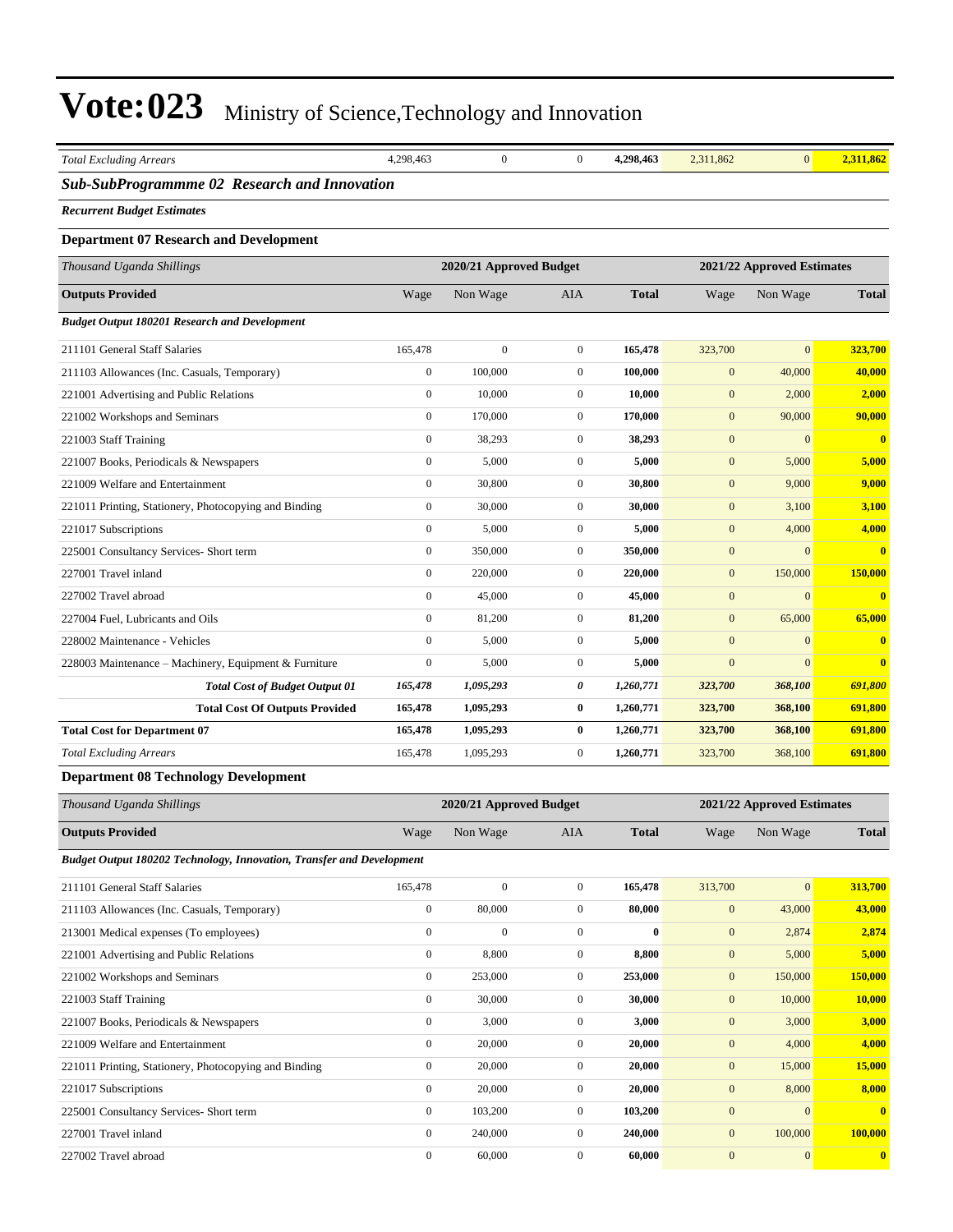| <b>Total Excluding Arrears</b>                                        | 4,298,463        | $\boldsymbol{0}$        | $\boldsymbol{0}$ | 4,298,463    | 2,311,862        | $\overline{0}$             | 2,311,862    |
|-----------------------------------------------------------------------|------------------|-------------------------|------------------|--------------|------------------|----------------------------|--------------|
| Sub-SubProgrammme 02 Research and Innovation                          |                  |                         |                  |              |                  |                            |              |
| <b>Recurrent Budget Estimates</b>                                     |                  |                         |                  |              |                  |                            |              |
|                                                                       |                  |                         |                  |              |                  |                            |              |
| <b>Department 07 Research and Development</b>                         |                  |                         |                  |              |                  |                            |              |
| Thousand Uganda Shillings                                             |                  | 2020/21 Approved Budget |                  |              |                  | 2021/22 Approved Estimates |              |
| <b>Outputs Provided</b>                                               | Wage             | Non Wage                | AIA              | <b>Total</b> | Wage             | Non Wage                   | <b>Total</b> |
| <b>Budget Output 180201 Research and Development</b>                  |                  |                         |                  |              |                  |                            |              |
| 211101 General Staff Salaries                                         | 165,478          | $\boldsymbol{0}$        | $\boldsymbol{0}$ | 165,478      | 323,700          | $\overline{0}$             | 323,700      |
| 211103 Allowances (Inc. Casuals, Temporary)                           | $\boldsymbol{0}$ | 100,000                 | $\mathbf{0}$     | 100,000      | $\mathbf{0}$     | 40,000                     | 40,000       |
| 221001 Advertising and Public Relations                               | $\boldsymbol{0}$ | 10,000                  | $\mathbf{0}$     | 10,000       | $\mathbf{0}$     | 2,000                      | 2,000        |
| 221002 Workshops and Seminars                                         | $\boldsymbol{0}$ | 170,000                 | $\mathbf{0}$     | 170,000      | $\boldsymbol{0}$ | 90,000                     | 90,000       |
| 221003 Staff Training                                                 | $\boldsymbol{0}$ | 38,293                  | $\mathbf{0}$     | 38,293       | $\boldsymbol{0}$ | $\boldsymbol{0}$           | $\bf{0}$     |
| 221007 Books, Periodicals & Newspapers                                | $\boldsymbol{0}$ | 5,000                   | $\mathbf{0}$     | 5,000        | $\mathbf{0}$     | 5,000                      | 5,000        |
| 221009 Welfare and Entertainment                                      | $\boldsymbol{0}$ | 30,800                  | $\mathbf{0}$     | 30,800       | $\mathbf{0}$     | 9,000                      | 9,000        |
| 221011 Printing, Stationery, Photocopying and Binding                 | $\boldsymbol{0}$ | 30,000                  | $\mathbf{0}$     | 30,000       | $\mathbf{0}$     | 3,100                      | 3,100        |
| 221017 Subscriptions                                                  | $\boldsymbol{0}$ | 5,000                   | $\mathbf{0}$     | 5,000        | $\boldsymbol{0}$ | 4,000                      | 4,000        |
| 225001 Consultancy Services- Short term                               | $\boldsymbol{0}$ | 350,000                 | $\mathbf{0}$     | 350,000      | $\boldsymbol{0}$ | $\overline{0}$             | $\bf{0}$     |
| 227001 Travel inland                                                  | $\boldsymbol{0}$ | 220,000                 | $\mathbf{0}$     | 220,000      | $\mathbf{0}$     | 150,000                    | 150,000      |
| 227002 Travel abroad                                                  | $\boldsymbol{0}$ | 45,000                  | $\mathbf{0}$     | 45,000       | $\mathbf{0}$     | $\mathbf{0}$               | $\mathbf{0}$ |
| 227004 Fuel, Lubricants and Oils                                      | $\boldsymbol{0}$ | 81,200                  | $\mathbf{0}$     | 81,200       | $\mathbf{0}$     | 65,000                     | 65,000       |
| 228002 Maintenance - Vehicles                                         | $\boldsymbol{0}$ | 5,000                   | $\mathbf{0}$     | 5,000        | $\boldsymbol{0}$ | $\mathbf{0}$               | $\bf{0}$     |
| 228003 Maintenance - Machinery, Equipment & Furniture                 | $\boldsymbol{0}$ | 5,000                   | $\mathbf{0}$     | 5,000        | $\mathbf{0}$     | $\overline{0}$             | $\bf{0}$     |
| <b>Total Cost of Budget Output 01</b>                                 | 165,478          | 1,095,293               | 0                | 1,260,771    | 323,700          | 368,100                    | 691,800      |
| <b>Total Cost Of Outputs Provided</b>                                 | 165,478          | 1,095,293               | $\bf{0}$         | 1,260,771    | 323,700          | 368,100                    | 691,800      |
| <b>Total Cost for Department 07</b>                                   | 165,478          | 1,095,293               | $\bf{0}$         | 1,260,771    | 323,700          | 368,100                    | 691,800      |
| <b>Total Excluding Arrears</b>                                        | 165,478          | 1,095,293               | $\boldsymbol{0}$ | 1,260,771    | 323,700          | 368,100                    | 691,800      |
| <b>Department 08 Technology Development</b>                           |                  |                         |                  |              |                  |                            |              |
| Thousand Uganda Shillings                                             |                  | 2020/21 Approved Budget |                  |              |                  | 2021/22 Approved Estimates |              |
| <b>Outputs Provided</b>                                               | Wage             | Non Wage                | AIA              | <b>Total</b> | Wage             | Non Wage                   | <b>Total</b> |
| Budget Output 180202 Technology, Innovation, Transfer and Development |                  |                         |                  |              |                  |                            |              |
| 211101 General Staff Salaries                                         | 165,478          | $\boldsymbol{0}$        | $\boldsymbol{0}$ | 165,478      | 313,700          | $\boldsymbol{0}$           | 313,700      |
| 211103 Allowances (Inc. Casuals, Temporary)                           | $\boldsymbol{0}$ | 80,000                  | $\boldsymbol{0}$ | 80,000       | $\boldsymbol{0}$ | 43,000                     | 43,000       |
| 213001 Medical expenses (To employees)                                | $\mathbf{0}$     | $\boldsymbol{0}$        | $\boldsymbol{0}$ | $\bf{0}$     | $\boldsymbol{0}$ | 2,874                      | 2,874        |
| 221001 Advertising and Public Relations                               | $\boldsymbol{0}$ | 8,800                   | $\boldsymbol{0}$ | 8,800        | $\boldsymbol{0}$ | 5,000                      | 5,000        |
| 221002 Workshops and Seminars                                         | $\boldsymbol{0}$ | 253,000                 | $\boldsymbol{0}$ | 253,000      | $\boldsymbol{0}$ | 150,000                    | 150,000      |
| 221003 Staff Training                                                 | $\boldsymbol{0}$ | 30,000                  | $\boldsymbol{0}$ | 30,000       | $\boldsymbol{0}$ | 10,000                     | 10,000       |
| 221007 Books, Periodicals & Newspapers                                | $\boldsymbol{0}$ | 3,000                   | $\boldsymbol{0}$ | 3,000        | $\boldsymbol{0}$ | 3,000                      | 3,000        |
| 221009 Welfare and Entertainment                                      | $\boldsymbol{0}$ | 20,000                  | $\boldsymbol{0}$ | 20,000       | $\boldsymbol{0}$ | 4,000                      | 4,000        |
| 221011 Printing, Stationery, Photocopying and Binding                 | $\boldsymbol{0}$ | 20,000                  | $\boldsymbol{0}$ | 20,000       | $\boldsymbol{0}$ | 15,000                     | 15,000       |
| 221017 Subscriptions                                                  | $\boldsymbol{0}$ | 20,000                  | $\boldsymbol{0}$ | 20,000       | $\boldsymbol{0}$ | 8,000                      | 8,000        |
| 225001 Consultancy Services- Short term                               | $\boldsymbol{0}$ | 103,200                 | $\boldsymbol{0}$ | 103,200      | $\boldsymbol{0}$ | $\mathbf{0}$               | $\bf{0}$     |
| 227001 Travel inland                                                  | $\boldsymbol{0}$ | 240,000                 | $\mathbf{0}$     | 240,000      | $\boldsymbol{0}$ | 100,000                    | 100,000      |
| 227002 Travel abroad                                                  | $\boldsymbol{0}$ | 60,000                  | $\boldsymbol{0}$ | 60,000       | $\boldsymbol{0}$ | $\boldsymbol{0}$           | $\mathbf{0}$ |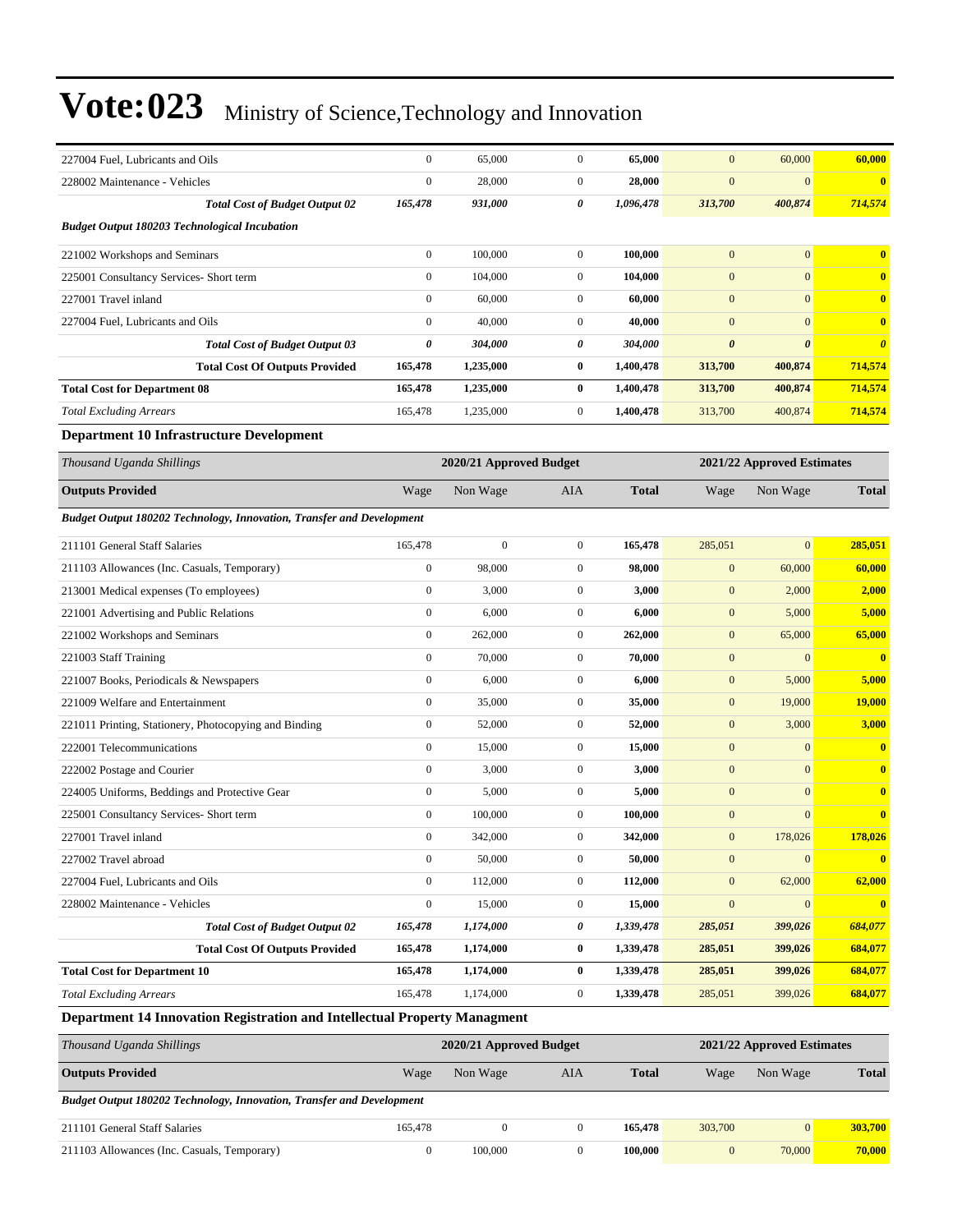| 227004 Fuel, Lubricants and Oils                                             | $\boldsymbol{0}$ | 65,000                  | $\boldsymbol{0}$ | 65,000       | $\mathbf{0}$     | 60,000                     | 60,000                  |
|------------------------------------------------------------------------------|------------------|-------------------------|------------------|--------------|------------------|----------------------------|-------------------------|
| 228002 Maintenance - Vehicles                                                | $\boldsymbol{0}$ | 28,000                  | $\mathbf{0}$     | 28,000       | $\mathbf{0}$     | $\mathbf{0}$               | $\bf{0}$                |
| <b>Total Cost of Budget Output 02</b>                                        | 165,478          | 931,000                 | 0                | 1,096,478    | 313,700          | 400,874                    | 714,574                 |
| <b>Budget Output 180203 Technological Incubation</b>                         |                  |                         |                  |              |                  |                            |                         |
| 221002 Workshops and Seminars                                                | $\boldsymbol{0}$ | 100,000                 | $\boldsymbol{0}$ | 100,000      | $\mathbf{0}$     | $\mathbf{0}$               | $\bf{0}$                |
| 225001 Consultancy Services- Short term                                      | $\boldsymbol{0}$ | 104,000                 | $\overline{0}$   | 104,000      | $\mathbf{0}$     | $\mathbf{0}$               | $\bf{0}$                |
| 227001 Travel inland                                                         | $\boldsymbol{0}$ | 60,000                  | $\mathbf{0}$     | 60,000       | $\mathbf{0}$     | $\mathbf{0}$               | $\bf{0}$                |
| 227004 Fuel. Lubricants and Oils                                             | $\boldsymbol{0}$ | 40,000                  | $\mathbf{0}$     | 40,000       | $\mathbf{0}$     | $\mathbf{0}$               | $\bf{0}$                |
| <b>Total Cost of Budget Output 03</b>                                        | $\pmb{\theta}$   | 304,000                 | 0                | 304,000      | $\pmb{\theta}$   | $\boldsymbol{\theta}$      | $\boldsymbol{\theta}$   |
| <b>Total Cost Of Outputs Provided</b>                                        | 165,478          | 1,235,000               | $\bf{0}$         | 1,400,478    | 313,700          | 400,874                    | 714,574                 |
| <b>Total Cost for Department 08</b>                                          | 165,478          | 1,235,000               | $\bf{0}$         | 1,400,478    | 313,700          | 400,874                    | 714,574                 |
| <b>Total Excluding Arrears</b>                                               | 165,478          | 1,235,000               | $\boldsymbol{0}$ | 1,400,478    | 313,700          | 400,874                    | 714,574                 |
| <b>Department 10 Infrastructure Development</b>                              |                  |                         |                  |              |                  |                            |                         |
| Thousand Uganda Shillings                                                    |                  | 2020/21 Approved Budget |                  |              |                  | 2021/22 Approved Estimates |                         |
| <b>Outputs Provided</b>                                                      | Wage             | Non Wage                | AIA              | <b>Total</b> | Wage             | Non Wage                   | <b>Total</b>            |
| <b>Budget Output 180202 Technology, Innovation, Transfer and Development</b> |                  |                         |                  |              |                  |                            |                         |
| 211101 General Staff Salaries                                                | 165,478          | $\boldsymbol{0}$        | $\boldsymbol{0}$ | 165,478      | 285,051          | $\overline{0}$             | 285,051                 |
| 211103 Allowances (Inc. Casuals, Temporary)                                  | $\boldsymbol{0}$ | 98,000                  | $\boldsymbol{0}$ | 98,000       | $\mathbf{0}$     | 60,000                     | 60,000                  |
| 213001 Medical expenses (To employees)                                       | $\boldsymbol{0}$ | 3,000                   | $\mathbf{0}$     | 3,000        | $\mathbf{0}$     | 2,000                      | 2,000                   |
| 221001 Advertising and Public Relations                                      | $\boldsymbol{0}$ | 6,000                   | $\overline{0}$   | 6,000        | $\mathbf{0}$     | 5,000                      | 5,000                   |
| 221002 Workshops and Seminars                                                | $\boldsymbol{0}$ | 262,000                 | $\mathbf{0}$     | 262,000      | $\mathbf{0}$     | 65,000                     | 65,000                  |
| 221003 Staff Training                                                        | $\boldsymbol{0}$ | 70,000                  | $\mathbf{0}$     | 70,000       | $\mathbf{0}$     | $\mathbf{0}$               | $\overline{\mathbf{0}}$ |
| 221007 Books, Periodicals & Newspapers                                       | $\boldsymbol{0}$ | 6,000                   | $\mathbf{0}$     | 6,000        | $\mathbf{0}$     | 5,000                      | 5,000                   |
| 221009 Welfare and Entertainment                                             | $\boldsymbol{0}$ | 35,000                  | $\boldsymbol{0}$ | 35,000       | $\mathbf{0}$     | 19,000                     | <b>19,000</b>           |
| 221011 Printing, Stationery, Photocopying and Binding                        | $\boldsymbol{0}$ | 52,000                  | $\boldsymbol{0}$ | 52,000       | $\mathbf{0}$     | 3,000                      | 3,000                   |
| 222001 Telecommunications                                                    | $\boldsymbol{0}$ | 15,000                  | $\mathbf{0}$     | 15,000       | $\mathbf{0}$     | $\mathbf{0}$               | $\bf{0}$                |
| 222002 Postage and Courier                                                   | $\boldsymbol{0}$ | 3,000                   | $\mathbf{0}$     | 3,000        | $\mathbf{0}$     | $\mathbf{0}$               | $\bf{0}$                |
| 224005 Uniforms, Beddings and Protective Gear                                | $\boldsymbol{0}$ | 5,000                   | $\mathbf{0}$     | 5,000        | $\mathbf{0}$     | $\mathbf{0}$               | $\bf{0}$                |
| 225001 Consultancy Services- Short term                                      | $\boldsymbol{0}$ | 100,000                 | $\boldsymbol{0}$ | 100,000      | $\mathbf{0}$     | $\boldsymbol{0}$           | $\bf{0}$                |
| 227001 Travel inland                                                         | $\boldsymbol{0}$ | 342,000                 | 0                | 342,000      | $\bf{0}$         | 178,026                    | 178,026                 |
| 227002 Travel abroad                                                         | $\boldsymbol{0}$ | 50,000                  | $\boldsymbol{0}$ | 50,000       | $\mathbf{0}$     | $\mathbf{0}$               | $\mathbf{0}$            |
| 227004 Fuel, Lubricants and Oils                                             | $\boldsymbol{0}$ | 112,000                 | $\overline{0}$   | 112,000      | $\boldsymbol{0}$ | 62,000                     | 62,000                  |
| 228002 Maintenance - Vehicles                                                | $\boldsymbol{0}$ | 15,000                  | $\boldsymbol{0}$ | 15,000       | $\boldsymbol{0}$ | $\mathbf{0}$               |                         |
| <b>Total Cost of Budget Output 02</b>                                        | 165,478          | 1,174,000               | 0                | 1,339,478    | 285,051          | 399,026                    | 684,077                 |
| <b>Total Cost Of Outputs Provided</b>                                        | 165,478          | 1,174,000               | $\bf{0}$         | 1,339,478    | 285,051          | 399,026                    | 684,077                 |
| <b>Total Cost for Department 10</b>                                          | 165,478          | 1,174,000               | $\bf{0}$         | 1,339,478    | 285,051          | 399,026                    | 684,077                 |
| <b>Total Excluding Arrears</b>                                               | 165,478          | 1,174,000               | $\boldsymbol{0}$ | 1,339,478    | 285,051          | 399,026                    | 684,077                 |
| Department 14 Innovation Registration and Intellectual Property Managment    |                  |                         |                  |              |                  |                            |                         |
| Thousand Uganda Shillings                                                    |                  | 2020/21 Approved Budget |                  |              |                  | 2021/22 Approved Estimates |                         |
| <b>Outputs Provided</b>                                                      | Wage             | Non Wage                | AIA              | <b>Total</b> | Wage             | Non Wage                   | <b>Total</b>            |

*Budget Output 180202 Technology, Innovation, Transfer and Development*

| 211101 General Staff Salaries               | 165.478 |         | 165.478 | 303,700 |        | 303.700 |
|---------------------------------------------|---------|---------|---------|---------|--------|---------|
| 211103 Allowances (Inc. Casuals, Temporary) |         | 100,000 | 100.000 |         | 70,000 | 70,000  |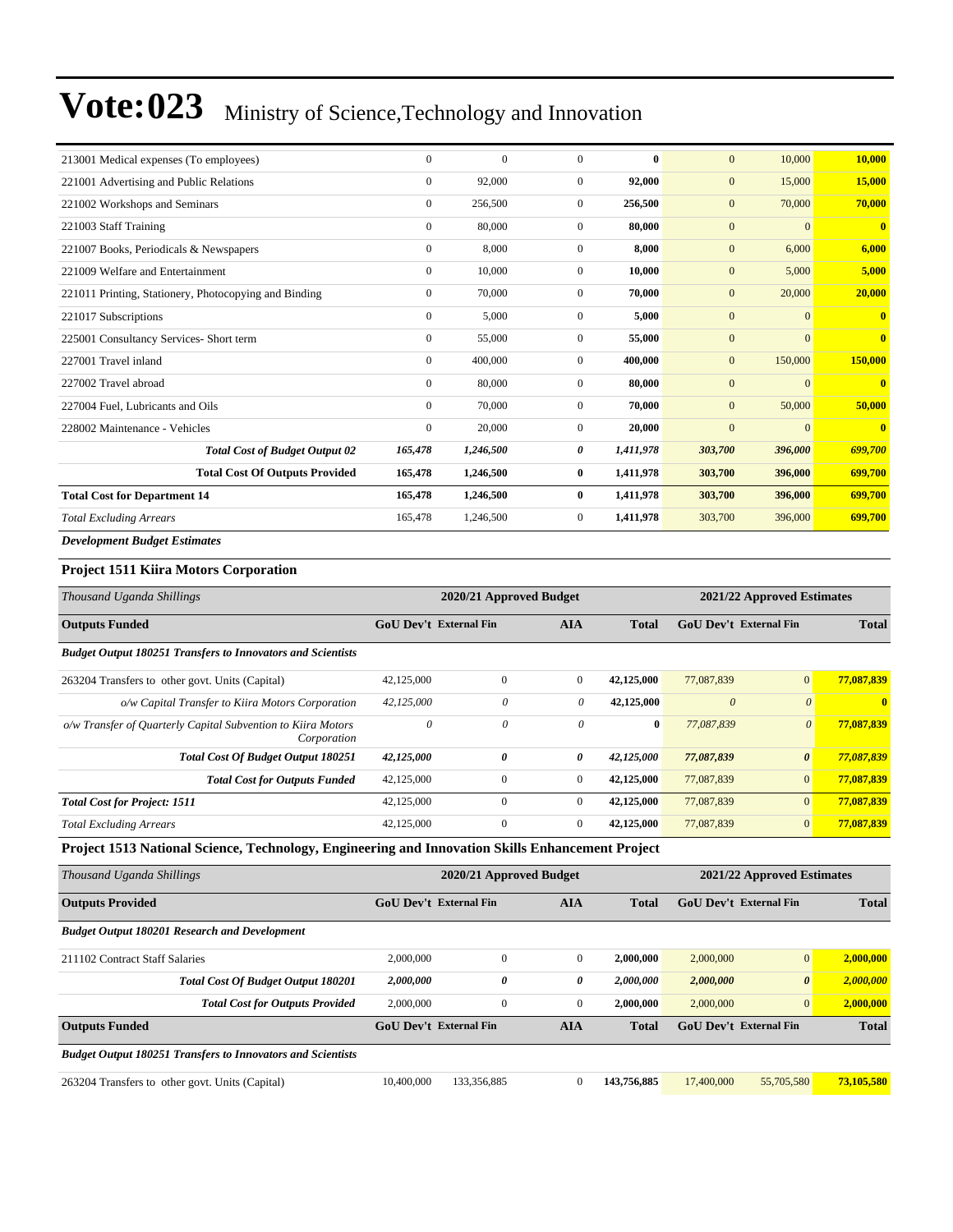| 213001 Medical expenses (To employees)                | $\Omega$     | $\mathbf{0}$ | $\Omega$       | $\mathbf{0}$ | $\mathbf{0}$ | 10,000         | 10,000                  |
|-------------------------------------------------------|--------------|--------------|----------------|--------------|--------------|----------------|-------------------------|
| 221001 Advertising and Public Relations               | $\mathbf{0}$ | 92,000       | $\overline{0}$ | 92,000       | $\mathbf{0}$ | 15,000         | 15,000                  |
| 221002 Workshops and Seminars                         | $\mathbf{0}$ | 256,500      | $\overline{0}$ | 256,500      | $\mathbf{0}$ | 70,000         | 70,000                  |
| 221003 Staff Training                                 | $\mathbf{0}$ | 80,000       | $\overline{0}$ | 80,000       | $\mathbf{0}$ | $\overline{0}$ | $\bf{0}$                |
| 221007 Books, Periodicals & Newspapers                | $\mathbf{0}$ | 8,000        | $\overline{0}$ | 8.000        | $\mathbf{0}$ | 6,000          | 6,000                   |
| 221009 Welfare and Entertainment                      | $\mathbf{0}$ | 10,000       | $\overline{0}$ | 10,000       | $\mathbf{0}$ | 5,000          | 5,000                   |
| 221011 Printing, Stationery, Photocopying and Binding | $\mathbf{0}$ | 70,000       | $\overline{0}$ | 70,000       | $\mathbf{0}$ | 20,000         | 20,000                  |
| 221017 Subscriptions                                  | $\mathbf{0}$ | 5,000        | $\overline{0}$ | 5,000        | $\mathbf{0}$ | $\overline{0}$ | $\bf{0}$                |
| 225001 Consultancy Services- Short term               | $\mathbf{0}$ | 55,000       | $\overline{0}$ | 55,000       | $\mathbf{0}$ | $\overline{0}$ | $\overline{\mathbf{0}}$ |
| 227001 Travel inland                                  | $\mathbf{0}$ | 400,000      | $\overline{0}$ | 400,000      | $\mathbf{0}$ | 150,000        | 150,000                 |
| 227002 Travel abroad                                  | $\mathbf{0}$ | 80,000       | $\overline{0}$ | 80,000       | $\mathbf{0}$ | $\overline{0}$ | $\mathbf{0}$            |
| 227004 Fuel, Lubricants and Oils                      | $\mathbf{0}$ | 70,000       | $\overline{0}$ | 70,000       | $\mathbf{0}$ | 50,000         | 50,000                  |
| 228002 Maintenance - Vehicles                         | $\mathbf{0}$ | 20,000       | $\overline{0}$ | 20,000       | $\mathbf{0}$ | $\overline{0}$ | $\overline{\mathbf{0}}$ |
| <b>Total Cost of Budget Output 02</b>                 | 165,478      | 1,246,500    | 0              | 1,411,978    | 303,700      | 396,000        | 699,700                 |
| <b>Total Cost Of Outputs Provided</b>                 | 165,478      | 1,246,500    | $\bf{0}$       | 1,411,978    | 303,700      | 396,000        | 699,700                 |
| <b>Total Cost for Department 14</b>                   | 165,478      | 1,246,500    | $\bf{0}$       | 1,411,978    | 303,700      | 396,000        | 699,700                 |
| <b>Total Excluding Arrears</b>                        | 165,478      | 1,246,500    | 0              | 1,411,978    | 303,700      | 396,000        | 699,700                 |
| <b>Development Budget Estimates</b>                   |              |              |                |              |              |                |                         |

#### **Project 1511 Kiira Motors Corporation**

| Thousand Uganda Shillings                                                   |                               | 2020/21 Approved Budget |              | 2021/22 Approved Estimates |                        |                       |              |
|-----------------------------------------------------------------------------|-------------------------------|-------------------------|--------------|----------------------------|------------------------|-----------------------|--------------|
| <b>Outputs Funded</b>                                                       | <b>GoU Dev't External Fin</b> |                         | <b>AIA</b>   | Total                      | GoU Dev't External Fin |                       | <b>Total</b> |
| <b>Budget Output 180251 Transfers to Innovators and Scientists</b>          |                               |                         |              |                            |                        |                       |              |
| 263204 Transfers to other govt. Units (Capital)                             | 42,125,000                    | $\mathbf{0}$            | $\mathbf{0}$ | 42,125,000                 | 77,087,839             | $\overline{0}$        | 77,087,839   |
| o/w Capital Transfer to Kiira Motors Corporation                            | 42,125,000                    | $\theta$                | 0            | 42,125,000                 | $\theta$               | $\theta$              | $\mathbf{0}$ |
| o/w Transfer of Quarterly Capital Subvention to Kiira Motors<br>Corporation | $\theta$                      | $\theta$                | $\theta$     | $\bf{0}$                   | 77.087.839             | $\theta$              | 77,087,839   |
| <b>Total Cost Of Budget Output 180251</b>                                   | 42,125,000                    | 0                       | 0            | 42,125,000                 | 77,087,839             | $\boldsymbol{\theta}$ | 77,087,839   |
| <b>Total Cost for Outputs Funded</b>                                        | 42,125,000                    | $\mathbf{0}$            | $\mathbf{0}$ | 42,125,000                 | 77,087,839             | $\overline{0}$        | 77,087,839   |
| <b>Total Cost for Project: 1511</b>                                         | 42,125,000                    | $\mathbf{0}$            | $\mathbf{0}$ | 42,125,000                 | 77,087,839             | $\overline{0}$        | 77,087,839   |
| <b>Total Excluding Arrears</b>                                              | 42,125,000                    | $\overline{0}$          | $\mathbf{0}$ | 42,125,000                 | 77,087,839             | $\mathbf{0}$          | 77,087,839   |

**Project 1513 National Science, Technology, Engineering and Innovation Skills Enhancement Project**

| Thousand Uganda Shillings                                          |                               | 2020/21 Approved Budget |              |              | 2021/22 Approved Estimates    |                       |              |  |
|--------------------------------------------------------------------|-------------------------------|-------------------------|--------------|--------------|-------------------------------|-----------------------|--------------|--|
| <b>Outputs Provided</b>                                            | <b>GoU Dev't External Fin</b> |                         | <b>AIA</b>   | <b>Total</b> | GoU Dev't External Fin        |                       | <b>Total</b> |  |
| <b>Budget Output 180201 Research and Development</b>               |                               |                         |              |              |                               |                       |              |  |
| 211102 Contract Staff Salaries                                     | 2,000,000                     | $\Omega$                | $\mathbf{0}$ | 2,000,000    | 2,000,000                     | $\vert 0 \vert$       | 2,000,000    |  |
| <b>Total Cost Of Budget Output 180201</b>                          | 2,000,000                     | 0                       | 0            | 2.000.000    | 2,000,000                     | $\boldsymbol{\theta}$ | 2,000,000    |  |
| <b>Total Cost for Outputs Provided</b>                             | 2,000,000                     | $\mathbf{0}$            | $\mathbf{0}$ | 2,000,000    | 2,000,000                     | $\mathbf{0}$          | 2,000,000    |  |
| <b>Outputs Funded</b>                                              | <b>GoU Dev't External Fin</b> |                         | <b>AIA</b>   | <b>Total</b> | <b>GoU</b> Dev't External Fin |                       | <b>Total</b> |  |
| <b>Budget Output 180251 Transfers to Innovators and Scientists</b> |                               |                         |              |              |                               |                       |              |  |
| 263204 Transfers to other govt. Units (Capital)                    | 10,400,000                    | 133,356,885             | $\Omega$     | 143,756,885  | 17,400,000                    | 55,705,580            | 73,105,580   |  |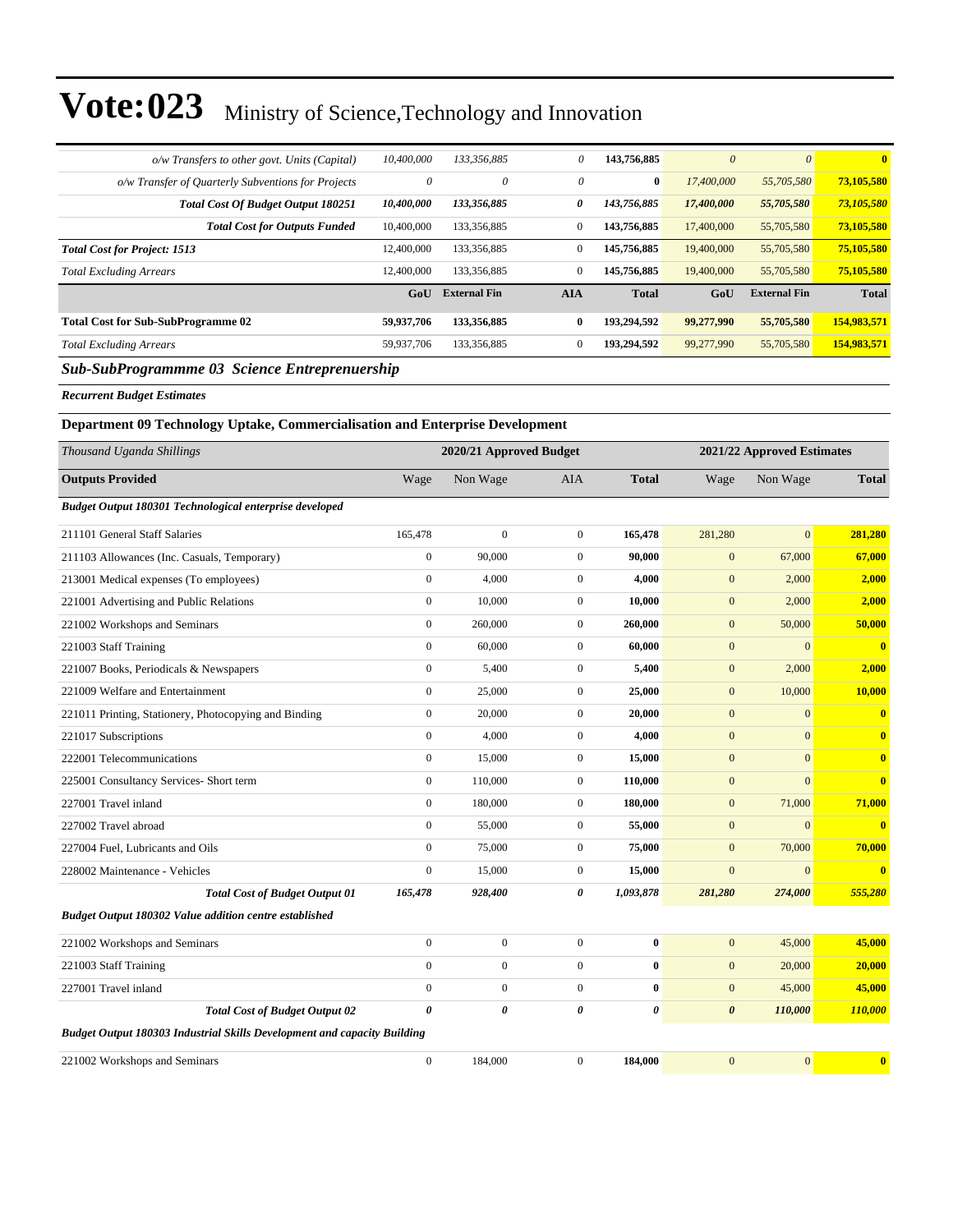| o/w Transfers to other govt. Units (Capital)       | 10,400,000 | 133,356,885         | 0            | 143,756,885  | $\theta$   | $\theta$            | $\mathbf{0}$ |
|----------------------------------------------------|------------|---------------------|--------------|--------------|------------|---------------------|--------------|
| o/w Transfer of Quarterly Subventions for Projects | 0          | $\theta$            | $\theta$     | $\bf{0}$     | 17,400,000 | 55,705,580          | 73,105,580   |
| <b>Total Cost Of Budget Output 180251</b>          | 10,400,000 | 133,356,885         | 0            | 143,756,885  | 17,400,000 | 55,705,580          | 73,105,580   |
| <b>Total Cost for Outputs Funded</b>               | 10,400,000 | 133,356,885         | $\mathbf{0}$ | 143,756,885  | 17,400,000 | 55,705,580          | 73,105,580   |
| <b>Total Cost for Project: 1513</b>                | 12,400,000 | 133,356,885         | $\mathbf{0}$ | 145,756,885  | 19,400,000 | 55,705,580          | 75,105,580   |
| <b>Total Excluding Arrears</b>                     | 12,400,000 | 133,356,885         | $\mathbf{0}$ | 145,756,885  | 19,400,000 | 55,705,580          | 75,105,580   |
|                                                    | GoU        | <b>External Fin</b> | <b>AIA</b>   | <b>Total</b> | GoU        | <b>External Fin</b> | <b>Total</b> |
| <b>Total Cost for Sub-SubProgramme 02</b>          | 59,937,706 | 133,356,885         | $\bf{0}$     | 193.294.592  | 99,277,990 | 55,705,580          | 154,983,571  |
| <b>Total Excluding Arrears</b>                     | 59,937,706 | 133,356,885         | $\mathbf{0}$ | 193,294,592  | 99,277,990 | 55,705,580          | 154,983,571  |
| _ _ _ _                                            |            |                     |              |              |            |                     |              |

#### *Sub-SubProgrammme 03 Science Entreprenuership*

*Recurrent Budget Estimates*

| Department 09 Technology Uptake, Commercialisation and Enterprise Development |                  |                         |                  |              |                       |                            |                         |
|-------------------------------------------------------------------------------|------------------|-------------------------|------------------|--------------|-----------------------|----------------------------|-------------------------|
| Thousand Uganda Shillings                                                     |                  | 2020/21 Approved Budget |                  |              |                       | 2021/22 Approved Estimates |                         |
| <b>Outputs Provided</b>                                                       | Wage             | Non Wage                | <b>AIA</b>       | <b>Total</b> | Wage                  | Non Wage                   | <b>Total</b>            |
| Budget Output 180301 Technological enterprise developed                       |                  |                         |                  |              |                       |                            |                         |
| 211101 General Staff Salaries                                                 | 165,478          | $\boldsymbol{0}$        | $\mathbf{0}$     | 165,478      | 281,280               | $\mathbf{0}$               | 281,280                 |
| 211103 Allowances (Inc. Casuals, Temporary)                                   | $\boldsymbol{0}$ | 90,000                  | $\mathbf{0}$     | 90,000       | $\mathbf{0}$          | 67,000                     | 67,000                  |
| 213001 Medical expenses (To employees)                                        | $\overline{0}$   | 4,000                   | $\mathbf{0}$     | 4,000        | $\mathbf{0}$          | 2,000                      | 2,000                   |
| 221001 Advertising and Public Relations                                       | $\overline{0}$   | 10,000                  | $\mathbf{0}$     | 10,000       | $\overline{0}$        | 2,000                      | 2,000                   |
| 221002 Workshops and Seminars                                                 | $\boldsymbol{0}$ | 260,000                 | $\mathbf{0}$     | 260,000      | $\mathbf{0}$          | 50,000                     | 50,000                  |
| 221003 Staff Training                                                         | $\overline{0}$   | 60,000                  | $\mathbf{0}$     | 60,000       | $\mathbf{0}$          | $\mathbf{0}$               | $\bf{0}$                |
| 221007 Books, Periodicals & Newspapers                                        | $\boldsymbol{0}$ | 5,400                   | $\boldsymbol{0}$ | 5,400        | $\mathbf{0}$          | 2,000                      | 2,000                   |
| 221009 Welfare and Entertainment                                              | $\overline{0}$   | 25,000                  | $\boldsymbol{0}$ | 25,000       | $\mathbf{0}$          | 10,000                     | 10,000                  |
| 221011 Printing, Stationery, Photocopying and Binding                         | $\boldsymbol{0}$ | 20,000                  | $\mathbf{0}$     | 20,000       | $\mathbf{0}$          | $\mathbf{0}$               | $\mathbf{0}$            |
| 221017 Subscriptions                                                          | $\overline{0}$   | 4,000                   | $\mathbf{0}$     | 4.000        | $\mathbf{0}$          | $\mathbf{0}$               | $\mathbf{0}$            |
| 222001 Telecommunications                                                     | $\boldsymbol{0}$ | 15,000                  | $\mathbf{0}$     | 15,000       | $\mathbf{0}$          | $\mathbf{0}$               | $\bf{0}$                |
| 225001 Consultancy Services- Short term                                       | $\boldsymbol{0}$ | 110,000                 | $\boldsymbol{0}$ | 110,000      | $\mathbf{0}$          | $\overline{0}$             | $\overline{\mathbf{0}}$ |
| 227001 Travel inland                                                          | $\boldsymbol{0}$ | 180,000                 | $\mathbf{0}$     | 180,000      | $\mathbf{0}$          | 71,000                     | 71,000                  |
| 227002 Travel abroad                                                          | $\overline{0}$   | 55,000                  | $\mathbf{0}$     | 55,000       | $\overline{0}$        | $\mathbf{0}$               | $\overline{\mathbf{0}}$ |
| 227004 Fuel, Lubricants and Oils                                              | $\overline{0}$   | 75,000                  | $\boldsymbol{0}$ | 75,000       | $\mathbf{0}$          | 70,000                     | 70,000                  |
| 228002 Maintenance - Vehicles                                                 | $\boldsymbol{0}$ | 15,000                  | $\boldsymbol{0}$ | 15,000       | $\overline{0}$        | $\mathbf{0}$               | $\overline{\mathbf{0}}$ |
| <b>Total Cost of Budget Output 01</b>                                         | 165,478          | 928,400                 | 0                | 1,093,878    | 281,280               | 274,000                    | 555,280                 |
| Budget Output 180302 Value addition centre established                        |                  |                         |                  |              |                       |                            |                         |
| 221002 Workshops and Seminars                                                 | $\overline{0}$   | $\boldsymbol{0}$        | $\mathbf{0}$     | $\bf{0}$     | $\mathbf{0}$          | 45,000                     | 45,000                  |
| 221003 Staff Training                                                         | $\overline{0}$   | $\boldsymbol{0}$        | $\mathbf{0}$     | $\bf{0}$     | $\mathbf{0}$          | 20,000                     | 20,000                  |
| 227001 Travel inland                                                          | $\overline{0}$   | $\boldsymbol{0}$        | $\mathbf{0}$     | $\bf{0}$     | $\mathbf{0}$          | 45,000                     | 45,000                  |
| <b>Total Cost of Budget Output 02</b>                                         | 0                | $\boldsymbol{\theta}$   | 0                | 0            | $\boldsymbol{\theta}$ | 110,000                    | 110,000                 |
| Budget Output 180303 Industrial Skills Development and capacity Building      |                  |                         |                  |              |                       |                            |                         |
| 221002 Workshops and Seminars                                                 | $\boldsymbol{0}$ | 184,000                 | $\mathbf{0}$     | 184,000      | $\overline{0}$        | $\mathbf{0}$               | $\mathbf{0}$            |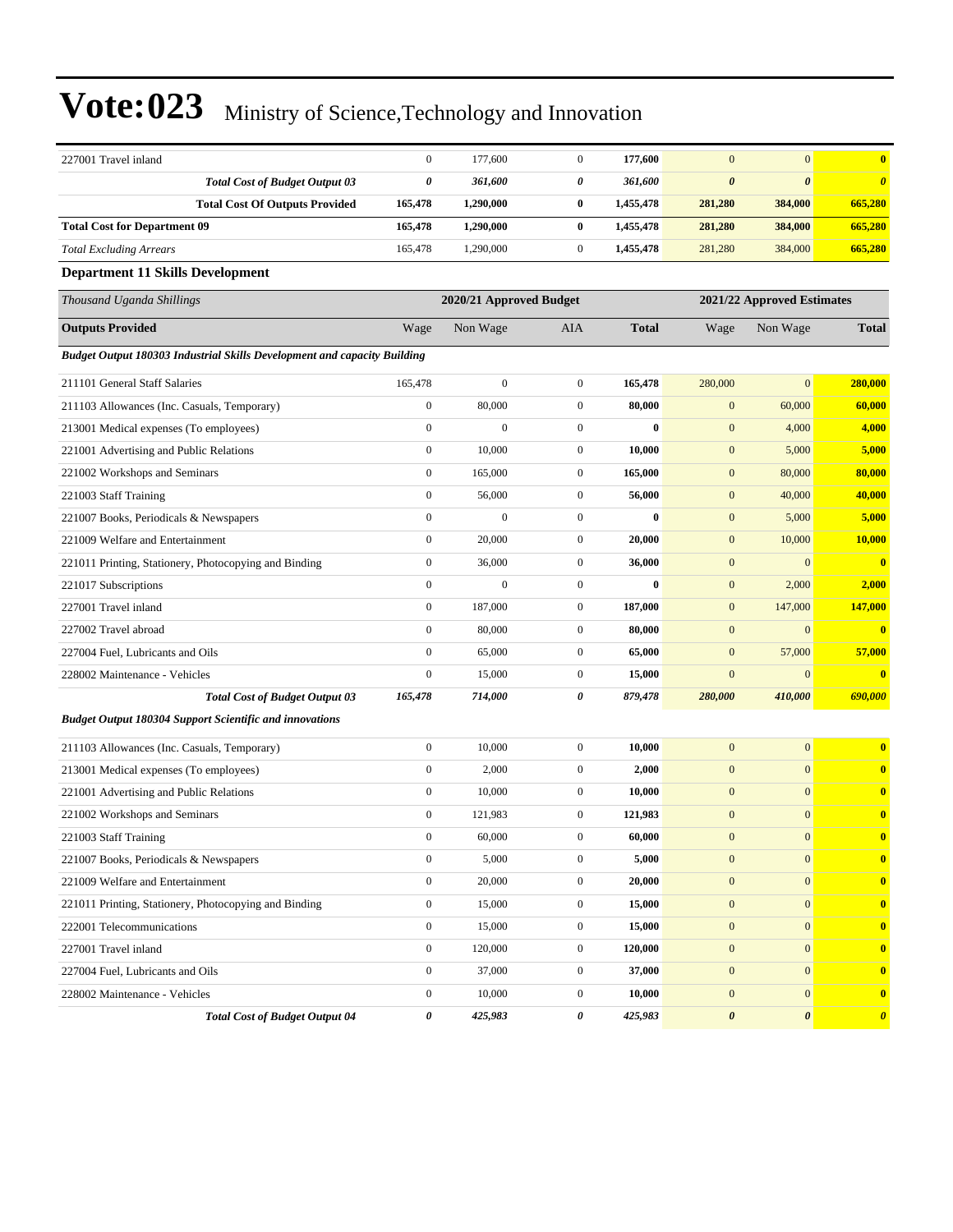| 227001 Travel inland                                                     | $\boldsymbol{0}$                                      | 177,600          | $\mathbf{0}$     | 177,600      | $\mathbf{0}$          | $\mathbf{0}$          | $\bf{0}$              |
|--------------------------------------------------------------------------|-------------------------------------------------------|------------------|------------------|--------------|-----------------------|-----------------------|-----------------------|
| <b>Total Cost of Budget Output 03</b>                                    | 0                                                     | 361,600          | 0                | 361,600      | $\boldsymbol{\theta}$ | $\boldsymbol{\theta}$ | $\boldsymbol{\theta}$ |
| <b>Total Cost Of Outputs Provided</b>                                    | 165,478                                               | 1,290,000        | $\bf{0}$         | 1,455,478    | 281,280               | 384,000               | 665,280               |
| <b>Total Cost for Department 09</b>                                      | 165,478                                               | 1,290,000        | $\bf{0}$         | 1,455,478    | 281,280               | 384,000               | 665,280               |
| <b>Total Excluding Arrears</b>                                           | 165,478                                               | 1,290,000        | $\boldsymbol{0}$ | 1,455,478    | 281,280               | 384,000               | 665,280               |
| <b>Department 11 Skills Development</b>                                  |                                                       |                  |                  |              |                       |                       |                       |
| Thousand Uganda Shillings                                                | 2020/21 Approved Budget<br>2021/22 Approved Estimates |                  |                  |              |                       |                       |                       |
| <b>Outputs Provided</b>                                                  | Wage                                                  | Non Wage         | AIA              | <b>Total</b> | Wage                  | Non Wage              | <b>Total</b>          |
| Budget Output 180303 Industrial Skills Development and capacity Building |                                                       |                  |                  |              |                       |                       |                       |
| 211101 General Staff Salaries                                            | 165,478                                               | $\boldsymbol{0}$ | $\mathbf{0}$     | 165,478      | 280,000               | $\mathbf{0}$          | 280,000               |
| 211103 Allowances (Inc. Casuals, Temporary)                              | $\boldsymbol{0}$                                      | 80,000           | $\mathbf{0}$     | 80,000       | $\boldsymbol{0}$      | 60,000                | 60,000                |
| 213001 Medical expenses (To employees)                                   | $\boldsymbol{0}$                                      | $\boldsymbol{0}$ | $\overline{0}$   | $\bf{0}$     | $\boldsymbol{0}$      | 4,000                 | 4,000                 |
| 221001 Advertising and Public Relations                                  | $\boldsymbol{0}$                                      | 10,000           | $\boldsymbol{0}$ | 10,000       | $\boldsymbol{0}$      | 5,000                 | 5,000                 |
| 221002 Workshops and Seminars                                            | $\boldsymbol{0}$                                      | 165,000          | $\boldsymbol{0}$ | 165,000      | $\boldsymbol{0}$      | 80,000                | 80,000                |
| 221003 Staff Training                                                    | $\boldsymbol{0}$                                      | 56,000           | $\boldsymbol{0}$ | 56,000       | $\boldsymbol{0}$      | 40,000                | 40,000                |
| 221007 Books, Periodicals & Newspapers                                   | $\boldsymbol{0}$                                      | $\boldsymbol{0}$ | $\boldsymbol{0}$ | $\bf{0}$     | $\boldsymbol{0}$      | 5,000                 | 5,000                 |
| 221009 Welfare and Entertainment                                         | $\boldsymbol{0}$                                      | 20,000           | $\mathbf{0}$     | 20,000       | $\boldsymbol{0}$      | 10,000                | 10,000                |
| 221011 Printing, Stationery, Photocopying and Binding                    | $\boldsymbol{0}$                                      | 36,000           | $\boldsymbol{0}$ | 36,000       | $\boldsymbol{0}$      | $\mathbf{0}$          | $\bf{0}$              |
| 221017 Subscriptions                                                     | $\boldsymbol{0}$                                      | $\mathbf{0}$     | $\boldsymbol{0}$ | $\bf{0}$     | $\boldsymbol{0}$      | 2,000                 | 2,000                 |
| 227001 Travel inland                                                     | $\boldsymbol{0}$                                      | 187,000          | $\boldsymbol{0}$ | 187,000      | $\mathbf{0}$          | 147,000               | 147,000               |
| 227002 Travel abroad                                                     | $\boldsymbol{0}$                                      | 80,000           | $\mathbf{0}$     | 80,000       | $\boldsymbol{0}$      | $\mathbf{0}$          | $\bf{0}$              |
| 227004 Fuel, Lubricants and Oils                                         | $\boldsymbol{0}$                                      | 65,000           | $\boldsymbol{0}$ | 65,000       | $\boldsymbol{0}$      | 57,000                | 57,000                |
| 228002 Maintenance - Vehicles                                            | $\boldsymbol{0}$                                      | 15,000           | $\boldsymbol{0}$ | 15,000       | $\mathbf{0}$          | $\mathbf{0}$          | $\bf{0}$              |
| <b>Total Cost of Budget Output 03</b>                                    | 165,478                                               | 714,000          | 0                | 879,478      | 280,000               | 410,000               | 690,000               |
| <b>Budget Output 180304 Support Scientific and innovations</b>           |                                                       |                  |                  |              |                       |                       |                       |
| 211103 Allowances (Inc. Casuals, Temporary)                              | $\boldsymbol{0}$                                      | 10,000           | $\boldsymbol{0}$ | 10,000       | $\boldsymbol{0}$      | $\mathbf{0}$          | $\bf{0}$              |
| 213001 Medical expenses (To employees)                                   | $\boldsymbol{0}$                                      | 2,000            | $\boldsymbol{0}$ | 2,000        | $\boldsymbol{0}$      | $\mathbf{0}$          | $\bf{0}$              |
| 221001 Advertising and Public Relations                                  | $\boldsymbol{0}$                                      | 10,000           | $\mathbf{0}$     | 10,000       | $\mathbf{0}$          | $\mathbf{0}$          | $\bf{0}$              |
| 221002 Workshops and Seminars                                            | $\boldsymbol{0}$                                      | 121,983          | $\boldsymbol{0}$ | 121,983      | $\mathbf{0}$          | $\boldsymbol{0}$      | $\bf{0}$              |
| 221003 Staff Training                                                    | $\mathbf{0}$                                          | 60,000           | $\mathbf{0}$     | 60,000       | $\mathbf{0}$          | $\overline{0}$        | $\bf{0}$              |
| 221007 Books, Periodicals & Newspapers                                   | $\boldsymbol{0}$                                      | 5,000            | $\boldsymbol{0}$ | 5,000        | $\mathbf{0}$          | $\boldsymbol{0}$      | $\bf{0}$              |
| 221009 Welfare and Entertainment                                         | $\boldsymbol{0}$                                      | 20,000           | $\boldsymbol{0}$ | 20,000       | $\boldsymbol{0}$      | $\boldsymbol{0}$      | $\bf{0}$              |
| 221011 Printing, Stationery, Photocopying and Binding                    | $\boldsymbol{0}$                                      | 15,000           | $\mathbf{0}$     | 15,000       | $\boldsymbol{0}$      | $\mathbf{0}$          | $\bf{0}$              |
| 222001 Telecommunications                                                | $\boldsymbol{0}$                                      | 15,000           | $\boldsymbol{0}$ | 15,000       | $\boldsymbol{0}$      | $\mathbf{0}$          | $\bf{0}$              |
| 227001 Travel inland                                                     | $\boldsymbol{0}$                                      | 120,000          | $\boldsymbol{0}$ | 120,000      | $\boldsymbol{0}$      | $\mathbf{0}$          | $\bf{0}$              |
| 227004 Fuel, Lubricants and Oils                                         | $\boldsymbol{0}$                                      | 37,000           | $\boldsymbol{0}$ | 37,000       | $\mathbf{0}$          | $\mathbf{0}$          | $\bf{0}$              |
| 228002 Maintenance - Vehicles                                            | $\boldsymbol{0}$                                      | 10,000           | $\boldsymbol{0}$ | 10,000       | $\boldsymbol{0}$      | $\boldsymbol{0}$      | $\bf{0}$              |
| <b>Total Cost of Budget Output 04</b>                                    | 0                                                     | 425,983          | 0                | 425,983      | $\pmb{\theta}$        | $\pmb{\theta}$        | $\boldsymbol{\theta}$ |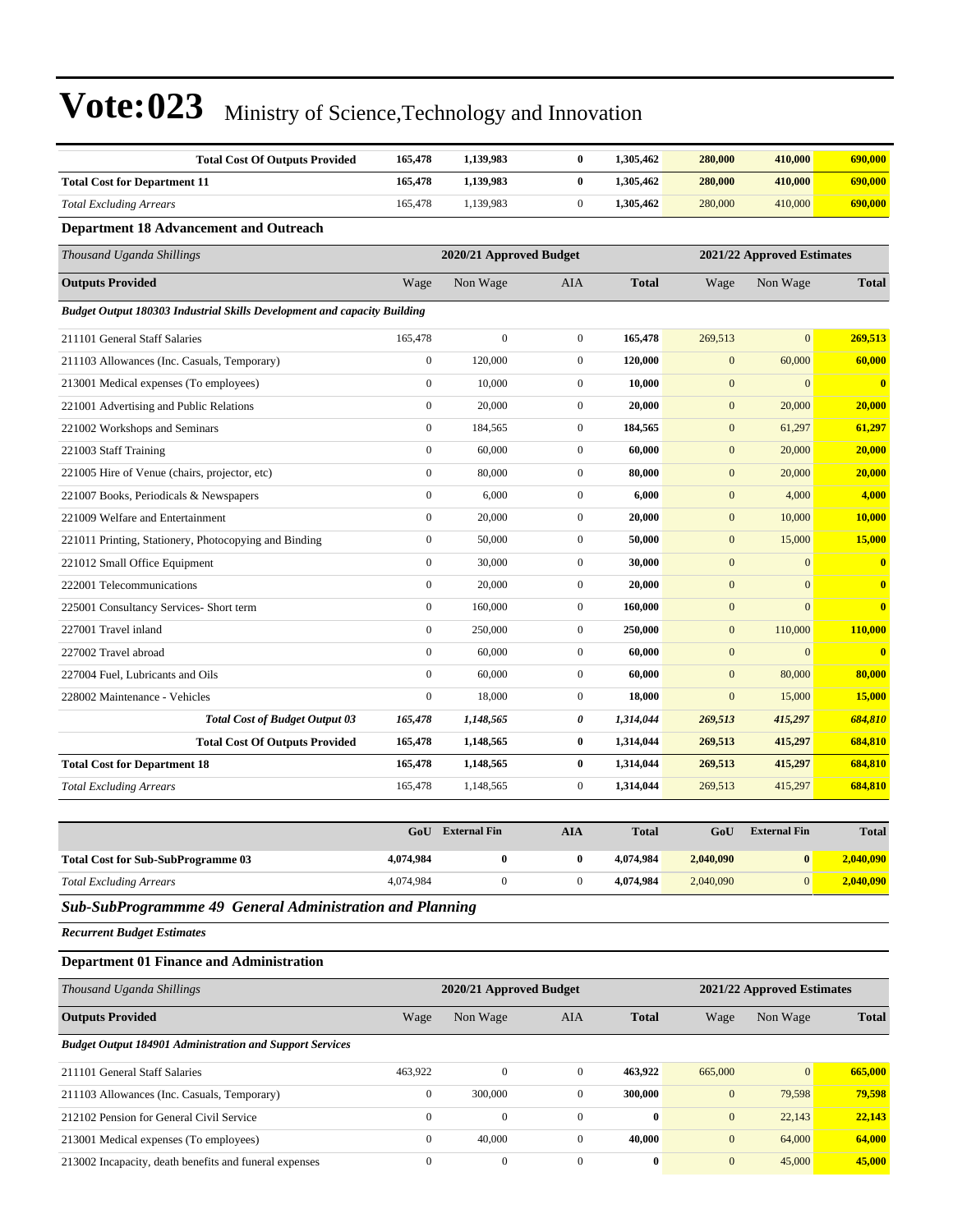| <b>Total Cost Of Outputs Provided</b>                                    | 165,478          | 1,139,983               | $\bf{0}$         | 1,305,462    | 280,000          | 410,000                    | 690,000                 |
|--------------------------------------------------------------------------|------------------|-------------------------|------------------|--------------|------------------|----------------------------|-------------------------|
| <b>Total Cost for Department 11</b>                                      | 165,478          | 1,139,983               | $\bf{0}$         | 1,305,462    | 280,000          | 410,000                    | 690,000                 |
| <b>Total Excluding Arrears</b>                                           | 165,478          | 1,139,983               | $\overline{0}$   | 1,305,462    | 280,000          | 410,000                    | 690,000                 |
| <b>Department 18 Advancement and Outreach</b>                            |                  |                         |                  |              |                  |                            |                         |
| Thousand Uganda Shillings                                                |                  | 2020/21 Approved Budget |                  |              |                  | 2021/22 Approved Estimates |                         |
| <b>Outputs Provided</b>                                                  | Wage             | Non Wage                | <b>AIA</b>       | <b>Total</b> | Wage             | Non Wage                   | <b>Total</b>            |
| Budget Output 180303 Industrial Skills Development and capacity Building |                  |                         |                  |              |                  |                            |                         |
| 211101 General Staff Salaries                                            | 165,478          | $\mathbf{0}$            | $\mathbf{0}$     | 165,478      | 269,513          | $\overline{0}$             | 269,513                 |
| 211103 Allowances (Inc. Casuals, Temporary)                              | $\mathbf{0}$     | 120,000                 | $\overline{0}$   | 120.000      | $\mathbf{0}$     | 60,000                     | 60,000                  |
| 213001 Medical expenses (To employees)                                   | $\mathbf{0}$     | 10,000                  | $\overline{0}$   | 10,000       | $\mathbf{0}$     | $\Omega$                   | $\overline{\mathbf{0}}$ |
| 221001 Advertising and Public Relations                                  | $\mathbf{0}$     | 20,000                  | $\overline{0}$   | 20,000       | $\mathbf{0}$     | 20,000                     | 20,000                  |
| 221002 Workshops and Seminars                                            | $\boldsymbol{0}$ | 184,565                 | $\mathbf{0}$     | 184,565      | $\boldsymbol{0}$ | 61,297                     | 61,297                  |
| 221003 Staff Training                                                    | $\mathbf{0}$     | 60,000                  | $\overline{0}$   | 60,000       | $\mathbf{0}$     | 20,000                     | 20,000                  |
| 221005 Hire of Venue (chairs, projector, etc)                            | $\mathbf{0}$     | 80,000                  | $\overline{0}$   | 80,000       | $\mathbf{0}$     | 20,000                     | 20,000                  |
| 221007 Books, Periodicals & Newspapers                                   | $\mathbf{0}$     | 6,000                   | $\overline{0}$   | 6,000        | $\mathbf{0}$     | 4,000                      | 4,000                   |
| 221009 Welfare and Entertainment                                         | $\mathbf{0}$     | 20,000                  | $\overline{0}$   | 20,000       | $\mathbf{0}$     | 10,000                     | 10,000                  |
| 221011 Printing, Stationery, Photocopying and Binding                    | $\mathbf{0}$     | 50,000                  | $\overline{0}$   | 50,000       | $\mathbf{0}$     | 15,000                     | 15,000                  |
| 221012 Small Office Equipment                                            | $\mathbf{0}$     | 30,000                  | $\overline{0}$   | 30,000       | $\mathbf{0}$     | $\mathbf{0}$               | $\overline{\mathbf{0}}$ |
| 222001 Telecommunications                                                | $\mathbf{0}$     | 20,000                  | $\overline{0}$   | 20,000       | $\boldsymbol{0}$ | $\mathbf{0}$               | $\bf{0}$                |
| 225001 Consultancy Services- Short term                                  | $\boldsymbol{0}$ | 160,000                 | $\overline{0}$   | 160,000      | $\mathbf{0}$     | $\mathbf{0}$               | $\mathbf{0}$            |
| 227001 Travel inland                                                     | $\boldsymbol{0}$ | 250,000                 | $\overline{0}$   | 250,000      | $\mathbf{0}$     | 110,000                    | 110,000                 |
| 227002 Travel abroad                                                     | $\boldsymbol{0}$ | 60,000                  | $\boldsymbol{0}$ | 60,000       | $\mathbf{0}$     | $\mathbf{0}$               | $\bf{0}$                |
| 227004 Fuel. Lubricants and Oils                                         | $\mathbf{0}$     | 60,000                  | $\overline{0}$   | 60,000       | $\mathbf{0}$     | 80,000                     | 80,000                  |
| 228002 Maintenance - Vehicles                                            | $\mathbf{0}$     | 18,000                  | $\overline{0}$   | 18,000       | $\mathbf{0}$     | 15,000                     | 15,000                  |
| <b>Total Cost of Budget Output 03</b>                                    | 165,478          | 1,148,565               | 0                | 1,314,044    | 269,513          | 415,297                    | 684,810                 |
| <b>Total Cost Of Outputs Provided</b>                                    | 165,478          | 1,148,565               | $\bf{0}$         | 1,314,044    | 269,513          | 415,297                    | 684,810                 |
| <b>Total Cost for Department 18</b>                                      | 165,478          | 1,148,565               | $\bf{0}$         | 1,314,044    | 269,513          | 415,297                    | 684,810                 |
| <b>Total Excluding Arrears</b>                                           | 165,478          | 1,148,565               | $\overline{0}$   | 1,314,044    | 269,513          | 415,297                    | 684,810                 |

|                                           | GoU       | <b>External Fin</b> | AIA | <b>Total</b> | GoU       | <b>External Fin</b> | <b>Total</b> |
|-------------------------------------------|-----------|---------------------|-----|--------------|-----------|---------------------|--------------|
| <b>Total Cost for Sub-SubProgramme 03</b> | 4,074,984 |                     | 0   | 4.074.984    | 2.040.090 | $\mathbf{0}$        | 2,040,090    |
| <b>Total Excluding Arrears</b>            | 4.074.984 |                     |     | 4.074.984    | 2.040.090 | $\Omega$            | 2,040,090    |

*Sub-SubProgrammme 49 General Administration and Planning*

*Recurrent Budget Estimates*

#### **Department 01 Finance and Administration**

| Thousand Uganda Shillings                                       | 2021/22 Approved Estimates<br>2020/21 Approved Budget |              |                |              |              |                |              |
|-----------------------------------------------------------------|-------------------------------------------------------|--------------|----------------|--------------|--------------|----------------|--------------|
| <b>Outputs Provided</b>                                         | Wage                                                  | Non Wage     | <b>AIA</b>     | <b>Total</b> | Wage         | Non Wage       | <b>Total</b> |
| <b>Budget Output 184901 Administration and Support Services</b> |                                                       |              |                |              |              |                |              |
| 211101 General Staff Salaries                                   | 463.922                                               | $\mathbf{0}$ | $\mathbf{0}$   | 463.922      | 665,000      | $\overline{0}$ | 665,000      |
| 211103 Allowances (Inc. Casuals, Temporary)                     | $\mathbf{0}$                                          | 300,000      | $\mathbf{0}$   | 300,000      | $\mathbf{0}$ | 79.598         | 79,598       |
| 212102 Pension for General Civil Service                        | $\mathbf{0}$                                          | $\mathbf{0}$ | $\theta$       | $\bf{0}$     | $\mathbf{0}$ | 22,143         | 22,143       |
| 213001 Medical expenses (To employees)                          | $\mathbf{0}$                                          | 40,000       | $\mathbf{0}$   | 40.000       | $\mathbf{0}$ | 64,000         | 64,000       |
| 213002 Incapacity, death benefits and funeral expenses          | $\Omega$                                              | $\mathbf{0}$ | $\overline{0}$ | $\bf{0}$     | $\mathbf{0}$ | 45,000         | 45,000       |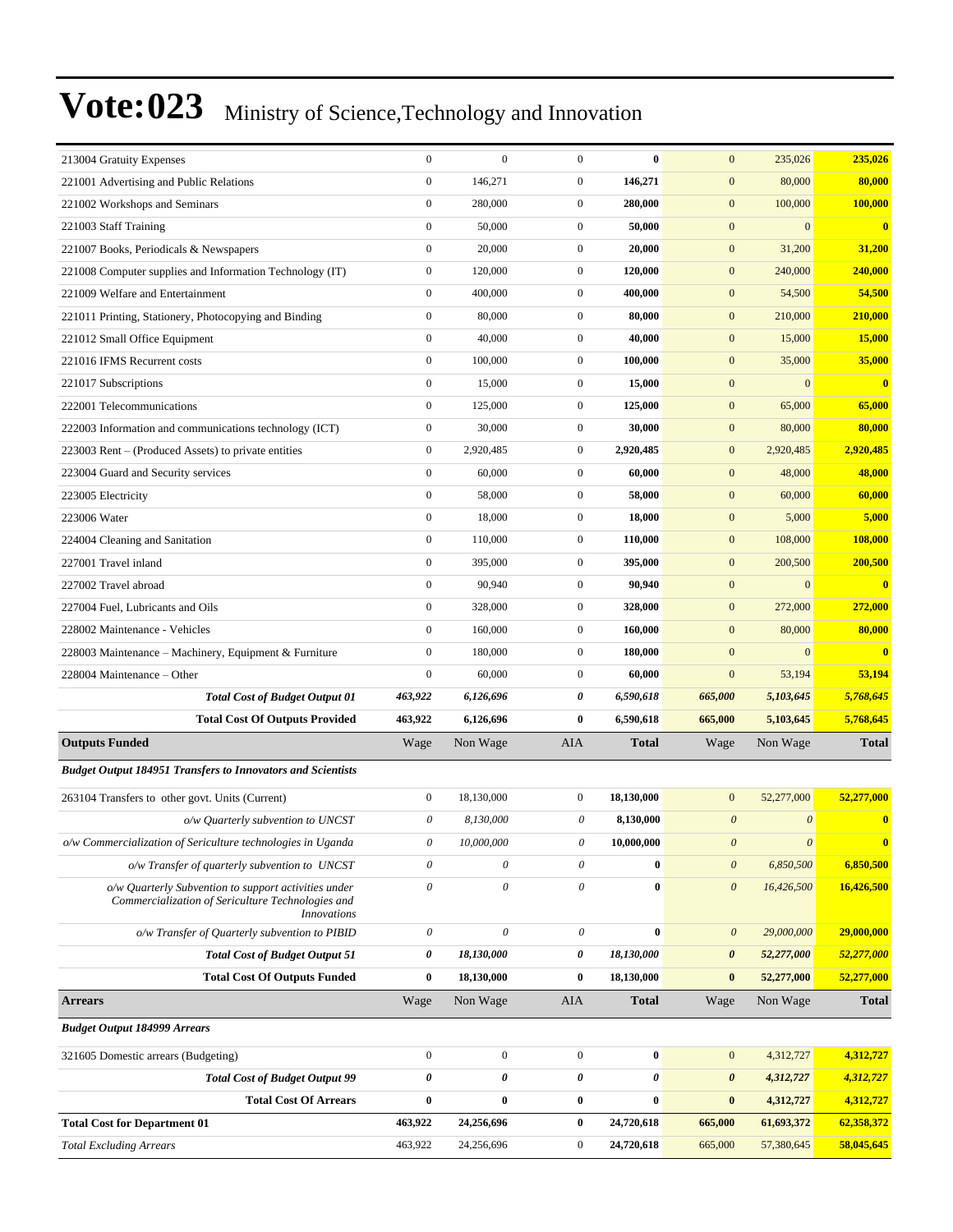| 213004 Gratuity Expenses                                                                                                        | $\boldsymbol{0}$          | $\mathbf{0}$              | $\mathbf{0}$          | $\bf{0}$     | $\mathbf{0}$          | 235,026               | 235,026                 |
|---------------------------------------------------------------------------------------------------------------------------------|---------------------------|---------------------------|-----------------------|--------------|-----------------------|-----------------------|-------------------------|
| 221001 Advertising and Public Relations                                                                                         | $\boldsymbol{0}$          | 146,271                   | $\boldsymbol{0}$      | 146,271      | $\boldsymbol{0}$      | 80,000                | 80,000                  |
| 221002 Workshops and Seminars                                                                                                   | $\boldsymbol{0}$          | 280,000                   | $\boldsymbol{0}$      | 280,000      | $\mathbf{0}$          | 100,000               | 100,000                 |
| 221003 Staff Training                                                                                                           | $\boldsymbol{0}$          | 50,000                    | $\boldsymbol{0}$      | 50,000       | $\boldsymbol{0}$      | $\mathbf{0}$          | $\bf{0}$                |
| 221007 Books, Periodicals & Newspapers                                                                                          | $\boldsymbol{0}$          | 20,000                    | $\mathbf{0}$          | 20,000       | $\mathbf{0}$          | 31,200                | 31,200                  |
| 221008 Computer supplies and Information Technology (IT)                                                                        | $\boldsymbol{0}$          | 120,000                   | $\boldsymbol{0}$      | 120,000      | $\overline{0}$        | 240,000               | 240,000                 |
| 221009 Welfare and Entertainment                                                                                                | $\boldsymbol{0}$          | 400,000                   | $\boldsymbol{0}$      | 400,000      | $\mathbf{0}$          | 54,500                | 54,500                  |
| 221011 Printing, Stationery, Photocopying and Binding                                                                           | $\boldsymbol{0}$          | 80,000                    | $\boldsymbol{0}$      | 80,000       | $\mathbf{0}$          | 210,000               | 210,000                 |
| 221012 Small Office Equipment                                                                                                   | $\boldsymbol{0}$          | 40,000                    | $\boldsymbol{0}$      | 40,000       | $\boldsymbol{0}$      | 15,000                | 15,000                  |
| 221016 IFMS Recurrent costs                                                                                                     | $\boldsymbol{0}$          | 100,000                   | $\boldsymbol{0}$      | 100,000      | $\mathbf{0}$          | 35,000                | 35,000                  |
| 221017 Subscriptions                                                                                                            | $\boldsymbol{0}$          | 15,000                    | $\boldsymbol{0}$      | 15,000       | $\mathbf{0}$          | $\mathbf{0}$          | $\overline{\mathbf{0}}$ |
| 222001 Telecommunications                                                                                                       | $\boldsymbol{0}$          | 125,000                   | $\boldsymbol{0}$      | 125,000      | $\mathbf{0}$          | 65,000                | 65,000                  |
| 222003 Information and communications technology (ICT)                                                                          | $\boldsymbol{0}$          | 30,000                    | $\boldsymbol{0}$      | 30,000       | $\mathbf{0}$          | 80,000                | 80,000                  |
| 223003 Rent – (Produced Assets) to private entities                                                                             | $\boldsymbol{0}$          | 2,920,485                 | $\boldsymbol{0}$      | 2,920,485    | $\mathbf{0}$          | 2,920,485             | 2,920,485               |
| 223004 Guard and Security services                                                                                              | $\boldsymbol{0}$          | 60,000                    | $\boldsymbol{0}$      | 60,000       | $\mathbf{0}$          | 48,000                | 48,000                  |
| 223005 Electricity                                                                                                              | $\boldsymbol{0}$          | 58,000                    | $\boldsymbol{0}$      | 58,000       | $\mathbf{0}$          | 60,000                | 60,000                  |
| 223006 Water                                                                                                                    | $\boldsymbol{0}$          | 18,000                    | $\boldsymbol{0}$      | 18,000       | $\mathbf{0}$          | 5,000                 | 5,000                   |
| 224004 Cleaning and Sanitation                                                                                                  | $\boldsymbol{0}$          | 110,000                   | $\boldsymbol{0}$      | 110,000      | $\mathbf{0}$          | 108,000               | 108,000                 |
| 227001 Travel inland                                                                                                            | $\boldsymbol{0}$          | 395,000                   | $\boldsymbol{0}$      | 395,000      | $\mathbf{0}$          | 200,500               | 200,500                 |
| 227002 Travel abroad                                                                                                            | $\boldsymbol{0}$          | 90,940                    | $\boldsymbol{0}$      | 90,940       | $\mathbf{0}$          | $\boldsymbol{0}$      | $\mathbf{0}$            |
| 227004 Fuel, Lubricants and Oils                                                                                                | $\boldsymbol{0}$          | 328,000                   | $\boldsymbol{0}$      | 328,000      | $\mathbf{0}$          | 272,000               | 272,000                 |
| 228002 Maintenance - Vehicles                                                                                                   | $\boldsymbol{0}$          | 160,000                   | $\boldsymbol{0}$      | 160,000      | $\mathbf{0}$          | 80,000                | 80,000                  |
| 228003 Maintenance - Machinery, Equipment & Furniture                                                                           | $\boldsymbol{0}$          | 180,000                   | $\boldsymbol{0}$      | 180,000      | $\boldsymbol{0}$      | $\mathbf{0}$          | $\mathbf{0}$            |
| 228004 Maintenance – Other                                                                                                      | $\boldsymbol{0}$          | 60,000                    | $\mathbf{0}$          | 60,000       | $\mathbf{0}$          | 53,194                | 53,194                  |
| <b>Total Cost of Budget Output 01</b>                                                                                           | 463,922                   | 6,126,696                 | 0                     | 6,590,618    | 665,000               | 5,103,645             | 5,768,645               |
| <b>Total Cost Of Outputs Provided</b>                                                                                           | 463,922                   | 6,126,696                 | $\bf{0}$              | 6,590,618    | 665,000               | 5,103,645             | 5,768,645               |
| <b>Outputs Funded</b>                                                                                                           | Wage                      | Non Wage                  | AIA                   | Total        | Wage                  | Non Wage              | <b>Total</b>            |
| <b>Budget Output 184951 Transfers to Innovators and Scientists</b>                                                              |                           |                           |                       |              |                       |                       |                         |
| 263104 Transfers to other govt. Units (Current)                                                                                 | $\boldsymbol{0}$          | 18,130,000                | $\mathbf{0}$          | 18,130,000   | $\mathbf{0}$          | 52,277,000            | 52,277,000              |
| o/w Quarterly subvention to UNCST                                                                                               | $\boldsymbol{\theta}$     | 8,130,000                 | 0                     | 8,130,000    | $\boldsymbol{\theta}$ | $\boldsymbol{\theta}$ | $\mathbf{0}$            |
| o/w Commercialization of Sericulture technologies in Uganda                                                                     | 0                         | 10,000,000                | 0                     | 10,000,000   | $\boldsymbol{\theta}$ | $\boldsymbol{\theta}$ | $\mathbf{0}$            |
| o/w Transfer of quarterly subvention to UNCST                                                                                   | $\boldsymbol{\theta}$     | 0                         | 0                     | $\bf{0}$     | $\boldsymbol{\theta}$ | 6,850,500             | 6,850,500               |
| o/w Quarterly Subvention to support activities under<br>Commercialization of Sericulture Technologies and<br><i>Innovations</i> | $\theta$                  | 0                         | $\theta$              | $\bf{0}$     | $\boldsymbol{\theta}$ | 16,426,500            | 16,426,500              |
| o/w Transfer of Quarterly subvention to PIBID                                                                                   | $\boldsymbol{\mathit{0}}$ | $\boldsymbol{\mathit{0}}$ | $\boldsymbol{\theta}$ | $\bf{0}$     | $\boldsymbol{0}$      | 29,000,000            | 29,000,000              |
| <b>Total Cost of Budget Output 51</b>                                                                                           | 0                         | 18,130,000                | $\pmb{\theta}$        | 18,130,000   | 0                     | 52,277,000            | 52,277,000              |
| <b>Total Cost Of Outputs Funded</b>                                                                                             | $\bf{0}$                  | 18,130,000                | $\bf{0}$              | 18,130,000   | $\pmb{0}$             | 52,277,000            | 52,277,000              |
| <b>Arrears</b>                                                                                                                  | Wage                      | Non Wage                  | AIA                   | <b>Total</b> | Wage                  | Non Wage              | <b>Total</b>            |
| <b>Budget Output 184999 Arrears</b>                                                                                             |                           |                           |                       |              |                       |                       |                         |
| 321605 Domestic arrears (Budgeting)                                                                                             | $\boldsymbol{0}$          | $\boldsymbol{0}$          | $\mathbf{0}$          | $\bf{0}$     | $\mathbf{0}$          | 4,312,727             | 4,312,727               |
| <b>Total Cost of Budget Output 99</b>                                                                                           | $\pmb{\theta}$            | $\pmb{\theta}$            | $\pmb{\theta}$        | 0            | 0                     | 4,312,727             | 4,312,727               |
| <b>Total Cost Of Arrears</b>                                                                                                    | $\bf{0}$                  | $\bf{0}$                  | $\bf{0}$              | $\bf{0}$     | $\pmb{0}$             | 4,312,727             | 4,312,727               |
| <b>Total Cost for Department 01</b>                                                                                             | 463,922                   | 24,256,696                | $\bf{0}$              | 24,720,618   | 665,000               | 61,693,372            | 62,358,372              |
| <b>Total Excluding Arrears</b>                                                                                                  | 463,922                   | 24,256,696                | $\boldsymbol{0}$      | 24,720,618   | 665,000               | 57,380,645            | 58,045,645              |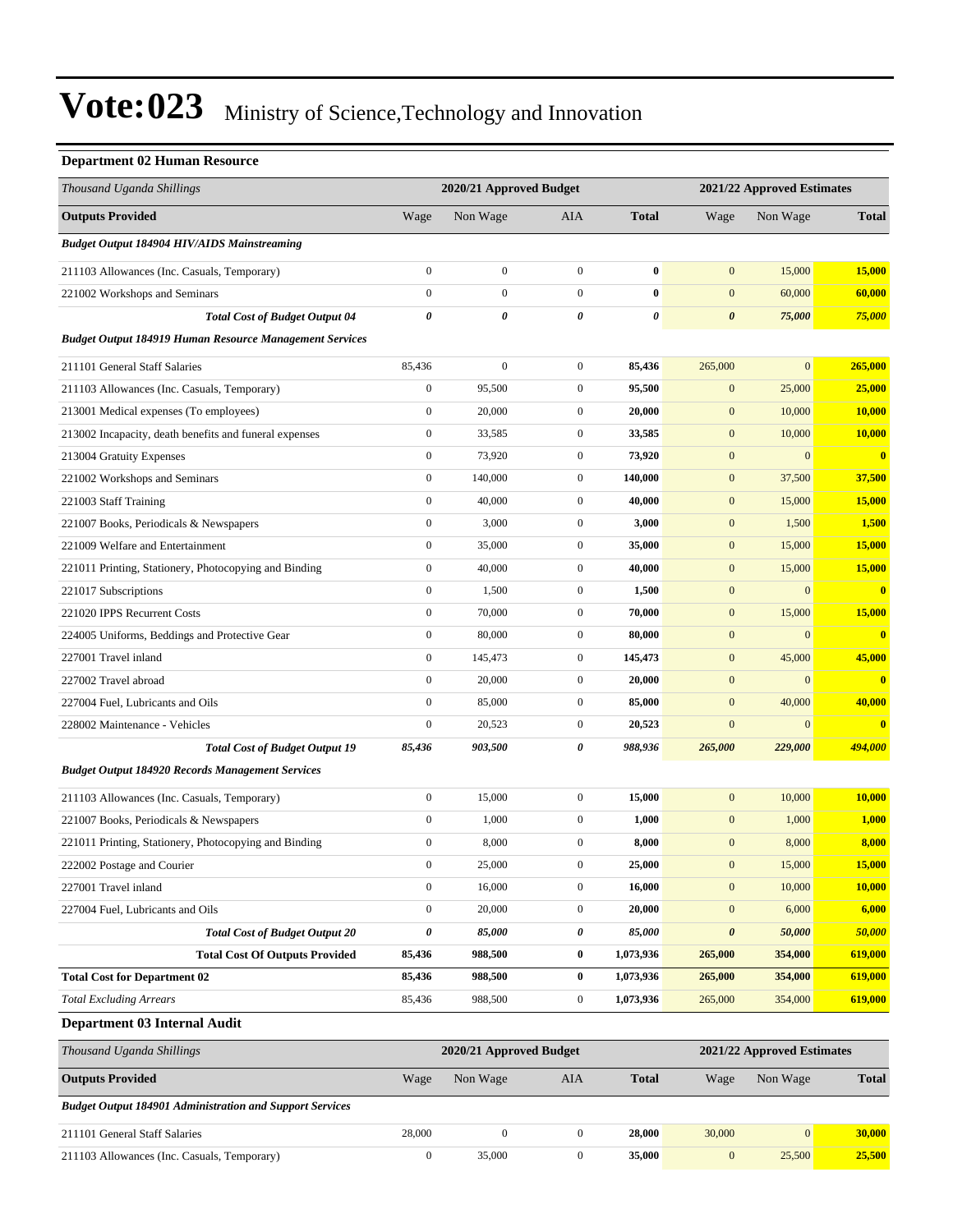#### **Department 02 Human Resource**

| вераганент од напнан кезоагес                                  |                       |                         |                       |                |                  |                            |                         |  |  |
|----------------------------------------------------------------|-----------------------|-------------------------|-----------------------|----------------|------------------|----------------------------|-------------------------|--|--|
| Thousand Uganda Shillings                                      |                       | 2020/21 Approved Budget |                       |                |                  | 2021/22 Approved Estimates |                         |  |  |
| <b>Outputs Provided</b>                                        | Wage                  | Non Wage                | AIA                   | <b>Total</b>   | Wage             | Non Wage                   | <b>Total</b>            |  |  |
| <b>Budget Output 184904 HIV/AIDS Mainstreaming</b>             |                       |                         |                       |                |                  |                            |                         |  |  |
| 211103 Allowances (Inc. Casuals, Temporary)                    | $\boldsymbol{0}$      | $\boldsymbol{0}$        | $\boldsymbol{0}$      | $\bf{0}$       | $\mathbf{0}$     | 15,000                     | 15,000                  |  |  |
| 221002 Workshops and Seminars                                  | $\overline{0}$        | $\boldsymbol{0}$        | $\boldsymbol{0}$      | $\bf{0}$       | $\mathbf{0}$     | 60,000                     | 60,000                  |  |  |
| <b>Total Cost of Budget Output 04</b>                          | $\boldsymbol{\theta}$ | 0                       | $\boldsymbol{\theta}$ | $\pmb{\theta}$ | $\pmb{\theta}$   | 75,000                     | 75,000                  |  |  |
| <b>Budget Output 184919 Human Resource Management Services</b> |                       |                         |                       |                |                  |                            |                         |  |  |
| 211101 General Staff Salaries                                  | 85,436                | $\boldsymbol{0}$        | $\boldsymbol{0}$      | 85,436         | 265,000          | $\boldsymbol{0}$           | 265,000                 |  |  |
| 211103 Allowances (Inc. Casuals, Temporary)                    | $\boldsymbol{0}$      | 95,500                  | $\boldsymbol{0}$      | 95,500         | $\mathbf{0}$     | 25,000                     | 25,000                  |  |  |
| 213001 Medical expenses (To employees)                         | $\boldsymbol{0}$      | 20,000                  | $\boldsymbol{0}$      | 20,000         | $\boldsymbol{0}$ | 10,000                     | 10,000                  |  |  |
| 213002 Incapacity, death benefits and funeral expenses         | $\boldsymbol{0}$      | 33,585                  | $\boldsymbol{0}$      | 33,585         | $\boldsymbol{0}$ | 10,000                     | 10,000                  |  |  |
| 213004 Gratuity Expenses                                       | $\boldsymbol{0}$      | 73,920                  | $\boldsymbol{0}$      | 73,920         | $\mathbf{0}$     | $\mathbf{0}$               | $\mathbf{0}$            |  |  |
| 221002 Workshops and Seminars                                  | $\boldsymbol{0}$      | 140,000                 | $\boldsymbol{0}$      | 140,000        | $\boldsymbol{0}$ | 37,500                     | 37,500                  |  |  |
| 221003 Staff Training                                          | $\boldsymbol{0}$      | 40,000                  | $\boldsymbol{0}$      | 40,000         | $\mathbf{0}$     | 15,000                     | 15,000                  |  |  |
| 221007 Books, Periodicals & Newspapers                         | $\boldsymbol{0}$      | 3,000                   | $\mathbf{0}$          | 3,000          | $\boldsymbol{0}$ | 1,500                      | 1,500                   |  |  |
| 221009 Welfare and Entertainment                               | $\boldsymbol{0}$      | 35,000                  | $\boldsymbol{0}$      | 35,000         | $\boldsymbol{0}$ | 15,000                     | 15,000                  |  |  |
| 221011 Printing, Stationery, Photocopying and Binding          | $\boldsymbol{0}$      | 40,000                  | $\boldsymbol{0}$      | 40,000         | $\mathbf{0}$     | 15,000                     | 15,000                  |  |  |
| 221017 Subscriptions                                           | $\boldsymbol{0}$      | 1,500                   | $\boldsymbol{0}$      | 1,500          | $\boldsymbol{0}$ | $\overline{0}$             | $\overline{\mathbf{0}}$ |  |  |
| 221020 IPPS Recurrent Costs                                    | $\boldsymbol{0}$      | 70,000                  | $\boldsymbol{0}$      | 70,000         | $\mathbf{0}$     | 15,000                     | 15,000                  |  |  |
| 224005 Uniforms, Beddings and Protective Gear                  | $\boldsymbol{0}$      | 80,000                  | $\boldsymbol{0}$      | 80,000         | $\boldsymbol{0}$ | $\mathbf{0}$               | $\overline{\mathbf{0}}$ |  |  |
| 227001 Travel inland                                           | $\boldsymbol{0}$      | 145,473                 | $\boldsymbol{0}$      | 145,473        | $\boldsymbol{0}$ | 45,000                     | 45,000                  |  |  |
| 227002 Travel abroad                                           | $\boldsymbol{0}$      | 20,000                  | $\boldsymbol{0}$      | 20,000         | $\mathbf{0}$     | $\mathbf{0}$               | $\mathbf{0}$            |  |  |
| 227004 Fuel, Lubricants and Oils                               | $\boldsymbol{0}$      | 85,000                  | $\boldsymbol{0}$      | 85,000         | $\boldsymbol{0}$ | 40,000                     | 40,000                  |  |  |
| 228002 Maintenance - Vehicles                                  | $\boldsymbol{0}$      | 20,523                  | $\boldsymbol{0}$      | 20,523         | $\mathbf{0}$     | $\boldsymbol{0}$           | $\bf{0}$                |  |  |
| <b>Total Cost of Budget Output 19</b>                          | 85,436                | 903,500                 | 0                     | 988,936        | 265,000          | 229,000                    | 494,000                 |  |  |
| <b>Budget Output 184920 Records Management Services</b>        |                       |                         |                       |                |                  |                            |                         |  |  |
| 211103 Allowances (Inc. Casuals, Temporary)                    | $\boldsymbol{0}$      | 15,000                  | $\boldsymbol{0}$      | 15,000         | $\boldsymbol{0}$ | 10,000                     | 10,000                  |  |  |
| 221007 Books, Periodicals & Newspapers                         | $\boldsymbol{0}$      | 1,000                   | $\boldsymbol{0}$      | 1,000          | $\mathbf{0}$     | 1,000                      | 1,000                   |  |  |
| 221011 Printing, Stationery, Photocopying and Binding          | $\boldsymbol{0}$      | 8,000                   | $\boldsymbol{0}$      | 8,000          | $\boldsymbol{0}$ | 8,000                      | 8,000                   |  |  |
| 222002 Postage and Courier                                     | $\boldsymbol{0}$      | 25,000                  | $\boldsymbol{0}$      | 25,000         | $\mathbf{0}$     | 15,000                     | <b>15,000</b>           |  |  |
| 227001 Travel inland                                           | $\boldsymbol{0}$      | 16,000                  | $\boldsymbol{0}$      | 16,000         | $\boldsymbol{0}$ | 10,000                     | 10,000                  |  |  |
| 227004 Fuel, Lubricants and Oils                               | $\boldsymbol{0}$      | 20,000                  | $\boldsymbol{0}$      | 20,000         | $\boldsymbol{0}$ | 6,000                      | 6,000                   |  |  |
| <b>Total Cost of Budget Output 20</b>                          | 0                     | 85,000                  | 0                     | 85,000         | $\pmb{\theta}$   | 50,000                     | 50,000                  |  |  |
| <b>Total Cost Of Outputs Provided</b>                          | 85,436                | 988,500                 | $\bf{0}$              | 1,073,936      | 265,000          | 354,000                    | 619,000                 |  |  |
| <b>Total Cost for Department 02</b>                            | 85,436                | 988,500                 | $\bf{0}$              | 1,073,936      | 265,000          | 354,000                    | 619,000                 |  |  |
| <b>Total Excluding Arrears</b>                                 | 85,436                | 988,500                 | $\boldsymbol{0}$      | 1,073,936      | 265,000          | 354,000                    | 619,000                 |  |  |
| Department 03 Internal Audit                                   |                       |                         |                       |                |                  |                            |                         |  |  |
| Thousand Uganda Shillings                                      |                       | 2020/21 Approved Budget |                       |                |                  | 2021/22 Approved Estimates |                         |  |  |
| <b>Outputs Provided</b>                                        | Wage                  | Non Wage                | AIA                   | <b>Total</b>   | Wage             | Non Wage                   | Total                   |  |  |

*Budget Output 184901 Administration and Support Services*

| 211101 General Staff Salaries               | 28.000 |       | <b>28.000</b> | 30,000 | 000.0 |
|---------------------------------------------|--------|-------|---------------|--------|-------|
| 211103 Allowances (Inc. Casuals, Temporary) |        | 5.000 | <b>35,000</b> | 25,500 | 5.500 |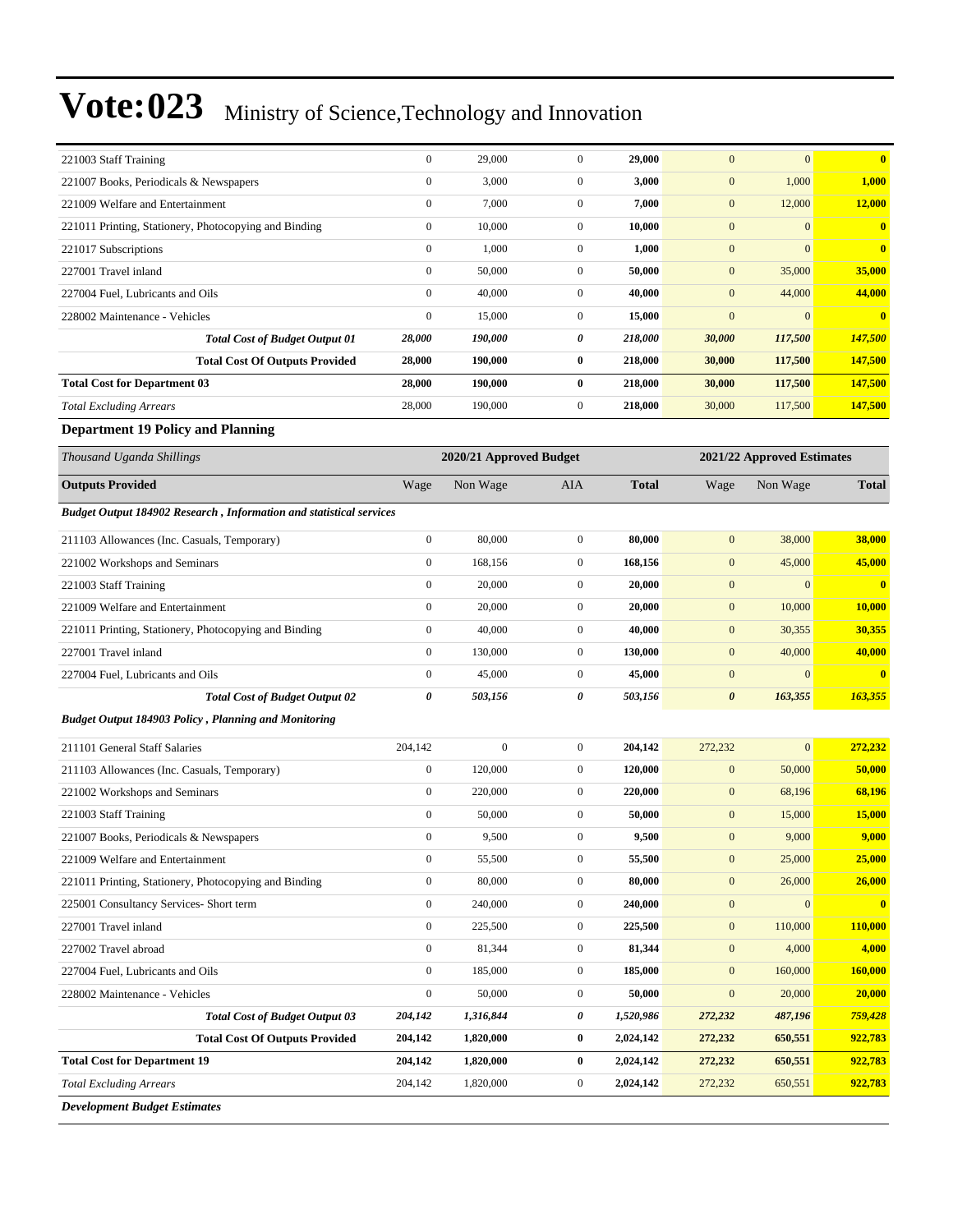| 221003 Staff Training                                                      | $\boldsymbol{0}$ | 29,000                  | $\mathbf{0}$     | 29,000       | $\boldsymbol{0}$      | $\mathbf{0}$               | $\mathbf{0}$            |
|----------------------------------------------------------------------------|------------------|-------------------------|------------------|--------------|-----------------------|----------------------------|-------------------------|
| 221007 Books, Periodicals & Newspapers                                     | $\boldsymbol{0}$ | 3,000                   | $\boldsymbol{0}$ | 3,000        | $\boldsymbol{0}$      | 1,000                      | 1,000                   |
| 221009 Welfare and Entertainment                                           | $\boldsymbol{0}$ | 7,000                   | $\boldsymbol{0}$ | 7,000        | $\boldsymbol{0}$      | 12,000                     | <b>12,000</b>           |
| 221011 Printing, Stationery, Photocopying and Binding                      | $\boldsymbol{0}$ | 10,000                  | $\mathbf{0}$     | 10,000       | $\mathbf{0}$          | $\mathbf{0}$               | $\bf{0}$                |
| 221017 Subscriptions                                                       | $\boldsymbol{0}$ | 1,000                   | $\boldsymbol{0}$ | 1,000        | $\mathbf{0}$          | $\mathbf{0}$               | $\bf{0}$                |
| 227001 Travel inland                                                       | $\boldsymbol{0}$ | 50,000                  | $\boldsymbol{0}$ | 50,000       | $\boldsymbol{0}$      | 35,000                     | 35,000                  |
| 227004 Fuel. Lubricants and Oils                                           | $\boldsymbol{0}$ | 40,000                  | $\mathbf{0}$     | 40,000       | $\mathbf{0}$          | 44,000                     | 44,000                  |
| 228002 Maintenance - Vehicles                                              | $\boldsymbol{0}$ | 15,000                  | $\boldsymbol{0}$ | 15,000       | $\mathbf{0}$          | $\mathbf{0}$               | $\bf{0}$                |
| <b>Total Cost of Budget Output 01</b>                                      | 28,000           | 190,000                 | 0                | 218,000      | 30,000                | 117,500                    | 147,500                 |
| <b>Total Cost Of Outputs Provided</b>                                      | 28,000           | 190,000                 | 0                | 218,000      | 30,000                | 117,500                    | 147,500                 |
| <b>Total Cost for Department 03</b>                                        | 28,000           | 190,000                 | $\bf{0}$         | 218,000      | 30,000                | 117,500                    | 147,500                 |
| <b>Total Excluding Arrears</b>                                             | 28,000           | 190,000                 | $\mathbf{0}$     | 218,000      | 30,000                | 117,500                    | 147,500                 |
| <b>Department 19 Policy and Planning</b>                                   |                  |                         |                  |              |                       |                            |                         |
| Thousand Uganda Shillings                                                  |                  | 2020/21 Approved Budget |                  |              |                       | 2021/22 Approved Estimates |                         |
| <b>Outputs Provided</b>                                                    | Wage             | Non Wage                | AIA              | <b>Total</b> | Wage                  | Non Wage                   | <b>Total</b>            |
| <b>Budget Output 184902 Research, Information and statistical services</b> |                  |                         |                  |              |                       |                            |                         |
| 211103 Allowances (Inc. Casuals, Temporary)                                | $\boldsymbol{0}$ | 80,000                  | $\boldsymbol{0}$ | 80,000       | $\mathbf{0}$          | 38,000                     | 38,000                  |
| 221002 Workshops and Seminars                                              | $\boldsymbol{0}$ | 168,156                 | $\boldsymbol{0}$ | 168,156      | $\boldsymbol{0}$      | 45,000                     | 45,000                  |
| 221003 Staff Training                                                      | $\boldsymbol{0}$ | 20,000                  | $\boldsymbol{0}$ | 20,000       | $\mathbf{0}$          | $\mathbf{0}$               | $\overline{\mathbf{0}}$ |
| 221009 Welfare and Entertainment                                           | $\boldsymbol{0}$ | 20,000                  | $\mathbf{0}$     | 20,000       | $\boldsymbol{0}$      | 10,000                     | 10,000                  |
| 221011 Printing, Stationery, Photocopying and Binding                      | $\boldsymbol{0}$ | 40,000                  | $\mathbf{0}$     | 40,000       | $\mathbf{0}$          | 30,355                     | 30,355                  |
| 227001 Travel inland                                                       | $\boldsymbol{0}$ | 130,000                 | $\mathbf{0}$     | 130,000      | $\boldsymbol{0}$      | 40,000                     | 40,000                  |
| 227004 Fuel, Lubricants and Oils                                           | $\boldsymbol{0}$ | 45,000                  | $\mathbf{0}$     | 45,000       | $\mathbf{0}$          | $\mathbf{0}$               | $\overline{\mathbf{0}}$ |
| <b>Total Cost of Budget Output 02</b>                                      | 0                | 503,156                 | 0                | 503,156      | $\boldsymbol{\theta}$ | 163,355                    | 163,355                 |
| <b>Budget Output 184903 Policy, Planning and Monitoring</b>                |                  |                         |                  |              |                       |                            |                         |
| 211101 General Staff Salaries                                              | 204,142          | $\mathbf{0}$            | $\mathbf{0}$     | 204,142      | 272,232               | $\mathbf{0}$               | 272,232                 |
| 211103 Allowances (Inc. Casuals, Temporary)                                | $\boldsymbol{0}$ | 120,000                 | $\boldsymbol{0}$ | 120,000      | $\boldsymbol{0}$      | 50,000                     | 50,000                  |
| 221002 Workshops and Seminars                                              | $\boldsymbol{0}$ | 220,000                 | $\mathbf{0}$     | 220,000      | $\boldsymbol{0}$      | 68,196                     | 68,196                  |
| 221003 Staff Training                                                      | $\boldsymbol{0}$ | 50,000                  | $\boldsymbol{0}$ | 50,000       | $\mathbf{0}$          | 15,000                     | 15,000                  |
| 221007 Books, Periodicals & Newspapers                                     | $\boldsymbol{0}$ | 9,500                   | $\boldsymbol{0}$ | 9,500        | $\boldsymbol{0}$      | 9,000                      | 9,000                   |
| 221009 Welfare and Entertainment                                           | $\boldsymbol{0}$ | 55,500                  | $\boldsymbol{0}$ | 55,500       | $\boldsymbol{0}$      | 25,000                     | 25,000                  |
| 221011 Printing, Stationery, Photocopying and Binding                      | $\boldsymbol{0}$ | 80,000                  | $\boldsymbol{0}$ | 80,000       | $\boldsymbol{0}$      | 26,000                     | 26,000                  |
| 225001 Consultancy Services- Short term                                    | $\boldsymbol{0}$ | 240,000                 | $\boldsymbol{0}$ | 240,000      | $\boldsymbol{0}$      | $\mathbf{0}$               | $\mathbf{0}$            |
| 227001 Travel inland                                                       | $\boldsymbol{0}$ | 225,500                 | $\boldsymbol{0}$ | 225,500      | $\boldsymbol{0}$      | 110,000                    | 110,000                 |
| 227002 Travel abroad                                                       | $\boldsymbol{0}$ | 81,344                  | $\boldsymbol{0}$ | 81,344       | $\mathbf{0}$          | 4,000                      | 4,000                   |
| 227004 Fuel, Lubricants and Oils                                           | $\boldsymbol{0}$ | 185,000                 | $\boldsymbol{0}$ | 185,000      | $\boldsymbol{0}$      | 160,000                    | 160,000                 |
| 228002 Maintenance - Vehicles                                              | $\boldsymbol{0}$ | 50,000                  | $\boldsymbol{0}$ | 50,000       | $\boldsymbol{0}$      | 20,000                     | 20,000                  |
| <b>Total Cost of Budget Output 03</b>                                      | 204,142          | 1,316,844               | 0                | 1,520,986    | 272,232               | 487,196                    | 759,428                 |
| <b>Total Cost Of Outputs Provided</b>                                      | 204,142          | 1,820,000               | $\bf{0}$         | 2,024,142    | 272,232               | 650,551                    | 922,783                 |
| <b>Total Cost for Department 19</b>                                        | 204,142          | 1,820,000               | $\bf{0}$         | 2,024,142    | 272,232               | 650,551                    | 922,783                 |
| <b>Total Excluding Arrears</b>                                             | 204,142          | 1,820,000               | $\boldsymbol{0}$ | 2,024,142    | 272,232               | 650,551                    | 922,783                 |

*Development Budget Estimates*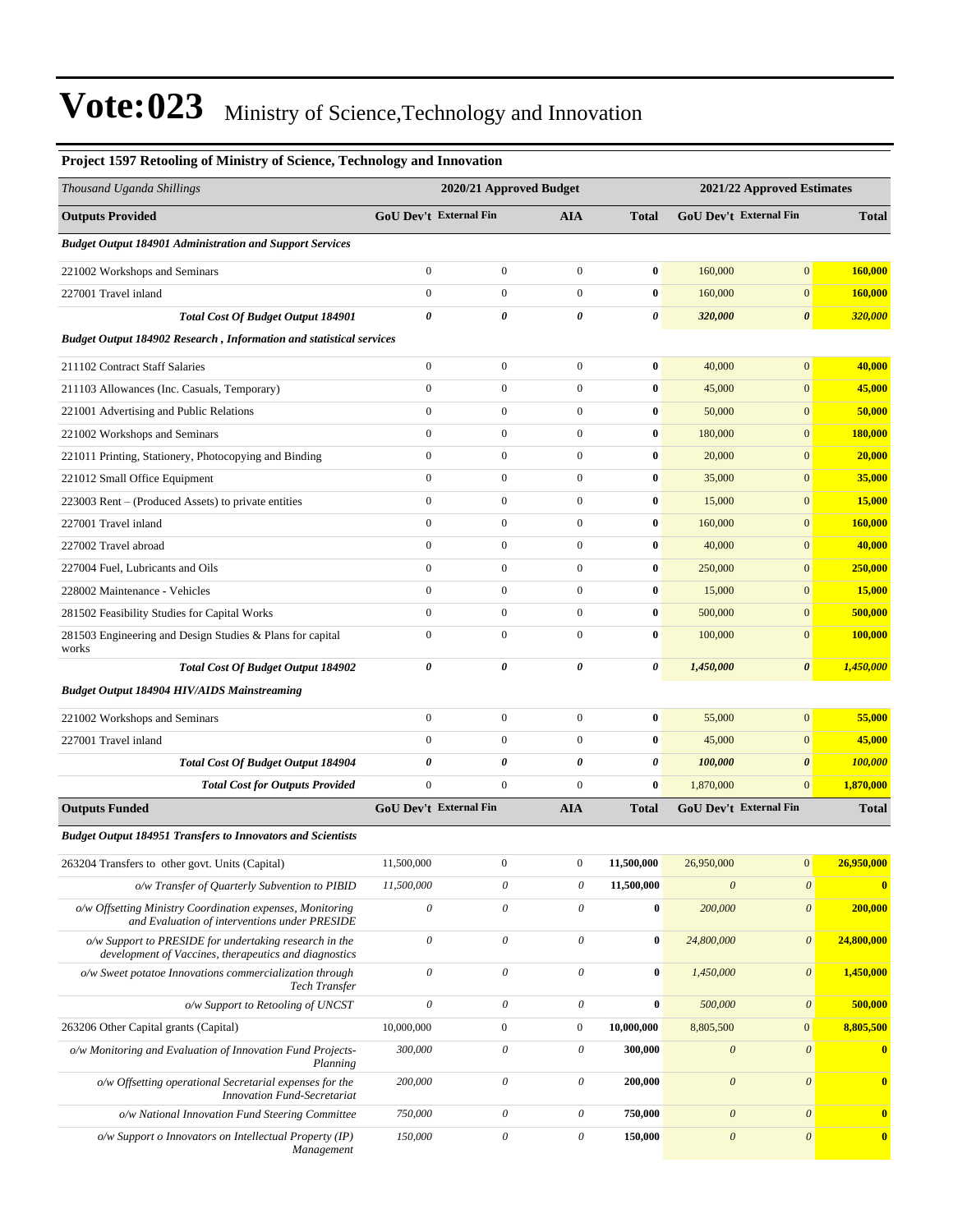| Project 1597 Retooling of Ministry of Science, Technology and Innovation                                        |                               |                               |                       |                |                               |                       |                |
|-----------------------------------------------------------------------------------------------------------------|-------------------------------|-------------------------------|-----------------------|----------------|-------------------------------|-----------------------|----------------|
| Thousand Uganda Shillings                                                                                       | 2020/21 Approved Budget       |                               |                       |                | 2021/22 Approved Estimates    |                       |                |
| <b>Outputs Provided</b>                                                                                         | <b>GoU Dev't External Fin</b> |                               | <b>AIA</b>            | <b>Total</b>   | <b>GoU Dev't External Fin</b> |                       | <b>Total</b>   |
| <b>Budget Output 184901 Administration and Support Services</b>                                                 |                               |                               |                       |                |                               |                       |                |
| 221002 Workshops and Seminars                                                                                   | $\boldsymbol{0}$              | $\boldsymbol{0}$              | $\boldsymbol{0}$      | $\bf{0}$       | 160,000                       | $\overline{0}$        | 160,000        |
| 227001 Travel inland                                                                                            | $\boldsymbol{0}$              | $\mathbf{0}$                  | $\boldsymbol{0}$      | $\bf{0}$       | 160,000                       | $\boldsymbol{0}$      | 160,000        |
| <b>Total Cost Of Budget Output 184901</b>                                                                       | 0                             | 0                             | $\boldsymbol{\theta}$ | $\pmb{\theta}$ | 320,000                       | $\pmb{\theta}$        | <b>320,000</b> |
| <b>Budget Output 184902 Research, Information and statistical services</b>                                      |                               |                               |                       |                |                               |                       |                |
| 211102 Contract Staff Salaries                                                                                  | $\boldsymbol{0}$              | $\boldsymbol{0}$              | $\boldsymbol{0}$      | $\bf{0}$       | 40,000                        | $\overline{0}$        | 40,000         |
| 211103 Allowances (Inc. Casuals, Temporary)                                                                     | $\boldsymbol{0}$              | $\boldsymbol{0}$              | $\boldsymbol{0}$      | $\bf{0}$       | 45,000                        | $\boldsymbol{0}$      | 45,000         |
| 221001 Advertising and Public Relations                                                                         | $\boldsymbol{0}$              | $\boldsymbol{0}$              | $\boldsymbol{0}$      | $\bf{0}$       | 50,000                        | $\overline{0}$        | 50,000         |
| 221002 Workshops and Seminars                                                                                   | $\boldsymbol{0}$              | $\mathbf{0}$                  | $\boldsymbol{0}$      | $\bf{0}$       | 180,000                       | $\boldsymbol{0}$      | 180,000        |
| 221011 Printing, Stationery, Photocopying and Binding                                                           | $\boldsymbol{0}$              | $\boldsymbol{0}$              | $\boldsymbol{0}$      | $\bf{0}$       | 20,000                        | $\boldsymbol{0}$      | 20,000         |
| 221012 Small Office Equipment                                                                                   | $\boldsymbol{0}$              | $\boldsymbol{0}$              | $\boldsymbol{0}$      | $\bf{0}$       | 35,000                        | $\boldsymbol{0}$      | 35,000         |
| 223003 Rent – (Produced Assets) to private entities                                                             | $\boldsymbol{0}$              | $\boldsymbol{0}$              | $\boldsymbol{0}$      | $\bf{0}$       | 15,000                        | $\boldsymbol{0}$      | 15,000         |
| 227001 Travel inland                                                                                            | $\boldsymbol{0}$              | $\mathbf{0}$                  | $\boldsymbol{0}$      | $\bf{0}$       | 160,000                       | $\overline{0}$        | 160,000        |
| 227002 Travel abroad                                                                                            | $\boldsymbol{0}$              | $\boldsymbol{0}$              | $\boldsymbol{0}$      | $\bf{0}$       | 40,000                        | $\boldsymbol{0}$      | 40,000         |
| 227004 Fuel, Lubricants and Oils                                                                                | $\boldsymbol{0}$              | $\boldsymbol{0}$              | $\boldsymbol{0}$      | $\bf{0}$       | 250,000                       | $\boldsymbol{0}$      | 250,000        |
| 228002 Maintenance - Vehicles                                                                                   | $\boldsymbol{0}$              | $\mathbf{0}$                  | $\boldsymbol{0}$      | $\bf{0}$       | 15,000                        | $\boldsymbol{0}$      | <b>15,000</b>  |
| 281502 Feasibility Studies for Capital Works                                                                    | $\boldsymbol{0}$              | $\boldsymbol{0}$              | $\boldsymbol{0}$      | $\bf{0}$       | 500,000                       | $\mathbf{0}$          | 500,000        |
| 281503 Engineering and Design Studies & Plans for capital<br>works                                              | $\boldsymbol{0}$              | $\mathbf{0}$                  | $\mathbf{0}$          | $\bf{0}$       | 100,000                       | $\overline{0}$        | 100,000        |
| <b>Total Cost Of Budget Output 184902</b>                                                                       | 0                             | 0                             | 0                     | 0              | 1,450,000                     | 0                     | 1,450,000      |
| <b>Budget Output 184904 HIV/AIDS Mainstreaming</b>                                                              |                               |                               |                       |                |                               |                       |                |
| 221002 Workshops and Seminars                                                                                   | $\boldsymbol{0}$              | $\boldsymbol{0}$              | $\boldsymbol{0}$      | $\bf{0}$       | 55,000                        | $\boldsymbol{0}$      | 55,000         |
| 227001 Travel inland                                                                                            | $\mathbf{0}$                  | $\boldsymbol{0}$              | $\boldsymbol{0}$      | $\bf{0}$       | 45,000                        | $\overline{0}$        | 45,000         |
| Total Cost Of Budget Output 184904                                                                              | 0                             | 0                             | 0                     | 0              | 100,000                       | $\pmb{\theta}$        | <b>100,000</b> |
| <b>Total Cost for Outputs Provided</b>                                                                          | $\mathbf{0}$                  | $\boldsymbol{0}$              | $\boldsymbol{0}$      | $\bf{0}$       | 1,870,000                     | $\overline{0}$        | 1,870,000      |
| <b>Outputs Funded</b>                                                                                           |                               | <b>GoU Dev't External Fin</b> | <b>AIA</b>            | <b>Total</b>   | <b>GoU Dev't External Fin</b> |                       | <b>Total</b>   |
| <b>Budget Output 184951 Transfers to Innovators and Scientists</b>                                              |                               |                               |                       |                |                               |                       |                |
| 263204 Transfers to other govt. Units (Capital)                                                                 | 11,500,000                    | $\boldsymbol{0}$              | $\boldsymbol{0}$      | 11,500,000     | 26,950,000                    | $\boldsymbol{0}$      | 26,950,000     |
| o/w Transfer of Quarterly Subvention to PIBID                                                                   | 11,500,000                    | $\boldsymbol{\theta}$         | $\theta$              | 11,500,000     | $\boldsymbol{\theta}$         | $\boldsymbol{\theta}$ | $\bf{0}$       |
| o/w Offsetting Ministry Coordination expenses, Monitoring<br>and Evaluation of interventions under PRESIDE      | $\mathcal O$                  | $\boldsymbol{\mathit{0}}$     | $\theta$              | $\bf{0}$       | 200,000                       | $\boldsymbol{\theta}$ | 200,000        |
| o/w Support to PRESIDE for undertaking research in the<br>development of Vaccines, therapeutics and diagnostics | $\mathcal O$                  | $\mathcal O$                  | $\boldsymbol{\theta}$ | $\bf{0}$       | 24,800,000                    | $\boldsymbol{\theta}$ | 24,800,000     |
| o/w Sweet potatoe Innovations commercialization through<br>Tech Transfer                                        | $\mathcal O$                  | $\boldsymbol{\theta}$         | $\boldsymbol{\theta}$ | $\bf{0}$       | 1,450,000                     | $\boldsymbol{\theta}$ | 1,450,000      |
| o/w Support to Retooling of UNCST                                                                               | $\mathcal O$                  | $\boldsymbol{\mathit{0}}$     | $\boldsymbol{\theta}$ | $\bf{0}$       | 500,000                       | $\boldsymbol{\theta}$ | 500,000        |
| 263206 Other Capital grants (Capital)                                                                           | 10,000,000                    | $\boldsymbol{0}$              | $\boldsymbol{0}$      | 10,000,000     | 8,805,500                     | $\boldsymbol{0}$      | 8,805,500      |
| o/w Monitoring and Evaluation of Innovation Fund Projects-<br>Planning                                          | 300,000                       | $\boldsymbol{\theta}$         | $\theta$              | 300,000        | $\boldsymbol{\mathit{0}}$     | $\boldsymbol{\theta}$ | $\bf{0}$       |
| o/w Offsetting operational Secretarial expenses for the<br><b>Innovation Fund-Secretariat</b>                   | 200,000                       | $\boldsymbol{\theta}$         | $\theta$              | 200,000        | $\boldsymbol{\theta}$         | $\boldsymbol{\theta}$ | $\bf{0}$       |
| o/w National Innovation Fund Steering Committee                                                                 | 750,000                       | $\boldsymbol{\theta}$         | $\theta$              | 750,000        | $\boldsymbol{\theta}$         | $\boldsymbol{\theta}$ | $\bf{0}$       |
| o/w Support o Innovators on Intellectual Property (IP)<br>Management                                            | 150,000                       | $\boldsymbol{\mathit{0}}$     | $\theta$              | 150,000        | $\boldsymbol{\theta}$         | $\boldsymbol{\theta}$ | $\bf{0}$       |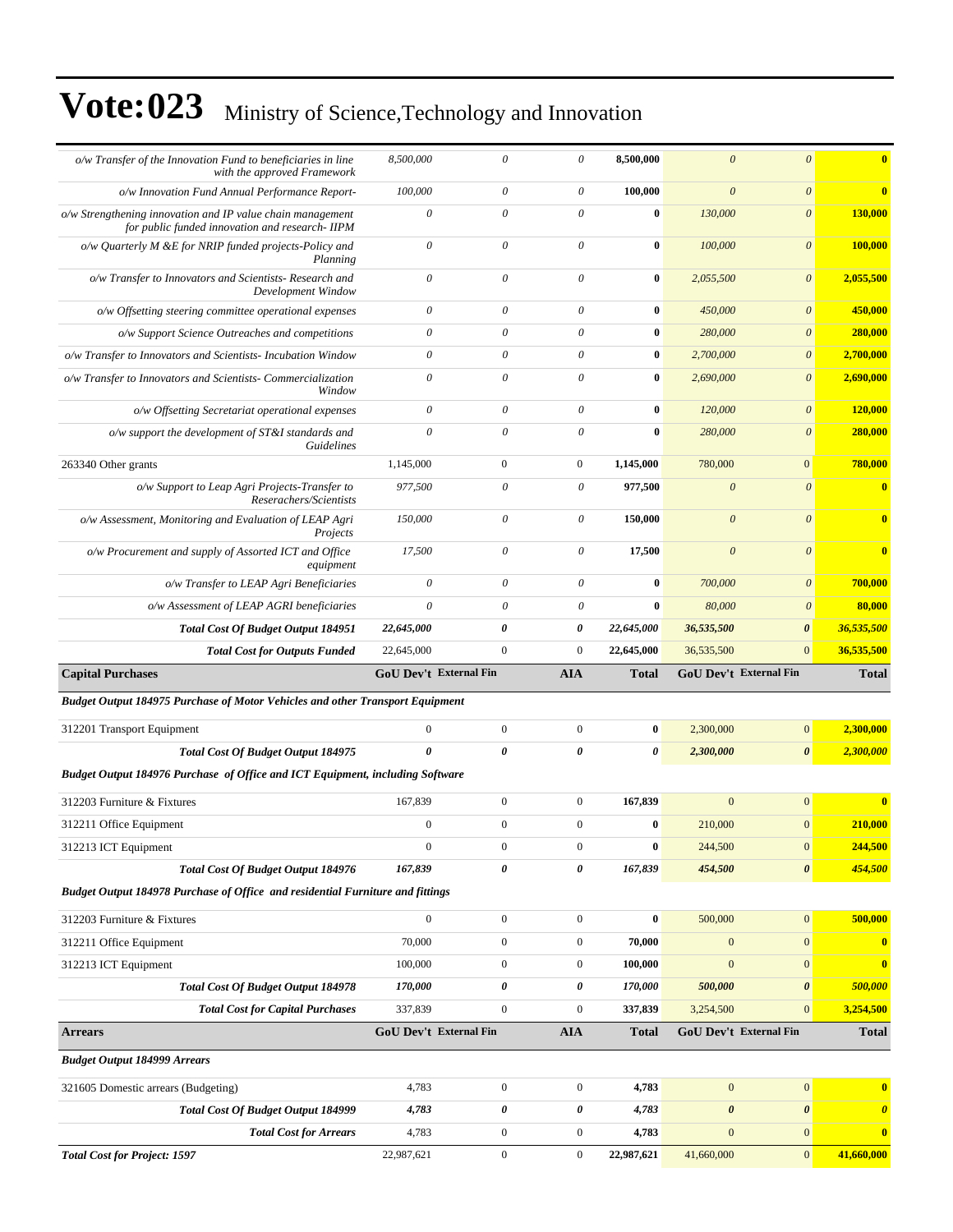| o/w Transfer of the Innovation Fund to beneficiaries in line<br>with the approved Framework                  | 8,500,000                     | $\theta$                  | $\theta$                  | 8,500,000             | $\overline{0}$         | $\mathcal{O}$         | $\overline{\mathbf{0}}$    |
|--------------------------------------------------------------------------------------------------------------|-------------------------------|---------------------------|---------------------------|-----------------------|------------------------|-----------------------|----------------------------|
| o/w Innovation Fund Annual Performance Report-                                                               | 100,000                       | $\boldsymbol{\mathit{0}}$ | $\theta$                  | 100,000               | $\boldsymbol{\theta}$  | $\boldsymbol{\theta}$ | $\overline{\mathbf{0}}$    |
| o/w Strengthening innovation and IP value chain management<br>for public funded innovation and research-IIPM | $\theta$                      | $\theta$                  | $\theta$                  | $\bf{0}$              | 130,000                | $\boldsymbol{\theta}$ | 130,000                    |
| o/w Quarterly M &E for NRIP funded projects-Policy and<br>Planning                                           | $\boldsymbol{\theta}$         | $\boldsymbol{\theta}$     | $\theta$                  | $\bf{0}$              | 100,000                | $\boldsymbol{\theta}$ | 100,000                    |
| o/w Transfer to Innovators and Scientists- Research and<br>Development Window                                | $\theta$                      | $\boldsymbol{\mathit{0}}$ | $\theta$                  | $\bf{0}$              | 2,055,500              | $\boldsymbol{\theta}$ | 2,055,500                  |
| o/w Offsetting steering committee operational expenses                                                       | $\theta$                      | $\boldsymbol{\mathit{0}}$ | $\theta$                  | $\bf{0}$              | 450,000                | $\boldsymbol{\theta}$ | 450,000                    |
| o/w Support Science Outreaches and competitions                                                              | $\boldsymbol{\mathit{0}}$     | $\boldsymbol{\mathit{0}}$ | $\boldsymbol{\mathit{0}}$ | $\bf{0}$              | 280,000                | $\boldsymbol{\theta}$ | 280,000                    |
| o/w Transfer to Innovators and Scientists- Incubation Window                                                 | $\mathcal O$                  | $\boldsymbol{\mathit{0}}$ | $\boldsymbol{\mathit{0}}$ | $\bf{0}$              | 2,700,000              | $\boldsymbol{\theta}$ | 2,700,000                  |
| o/w Transfer to Innovators and Scientists- Commercialization<br>Window                                       | $\theta$                      | $\boldsymbol{\mathit{0}}$ | $\theta$                  | $\bf{0}$              | 2,690,000              | $\boldsymbol{\theta}$ | 2,690,000                  |
| o/w Offsetting Secretariat operational expenses                                                              | $\boldsymbol{\theta}$         | $\boldsymbol{\mathit{0}}$ | $\theta$                  | $\bf{0}$              | 120,000                | $\boldsymbol{\theta}$ | 120,000                    |
| $o/w$ support the development of $ST&I$ standards and<br><b>Guidelines</b>                                   | $\theta$                      | $\theta$                  | $\theta$                  | $\bf{0}$              | 280,000                | $\boldsymbol{\theta}$ | 280,000                    |
| 263340 Other grants                                                                                          | 1,145,000                     | $\mathbf{0}$              | $\boldsymbol{0}$          | 1,145,000             | 780,000                | $\mathbf{0}$          | 780,000                    |
| o/w Support to Leap Agri Projects-Transfer to<br>Reserachers/Scientists                                      | 977,500                       | $\boldsymbol{\mathit{0}}$ | $\boldsymbol{\theta}$     | 977,500               | $\theta$               | $\boldsymbol{\theta}$ | $\mathbf{0}$               |
| o/w Assessment, Monitoring and Evaluation of LEAP Agri<br>Projects                                           | 150,000                       | $\boldsymbol{\theta}$     | $\boldsymbol{\theta}$     | 150,000               | $\boldsymbol{\theta}$  | $\boldsymbol{\theta}$ | $\overline{\mathbf{0}}$    |
| o/w Procurement and supply of Assorted ICT and Office<br>equipment                                           | 17,500                        | $\boldsymbol{\mathit{0}}$ | $\theta$                  | 17,500                | $\boldsymbol{\theta}$  | $\boldsymbol{\theta}$ | $\overline{\mathbf{0}}$    |
| o/w Transfer to LEAP Agri Beneficiaries                                                                      | $\boldsymbol{\theta}$         | $\boldsymbol{\theta}$     | $\boldsymbol{\theta}$     | $\bf{0}$              | 700,000                | $\boldsymbol{\theta}$ | 700,000                    |
| o/w Assessment of LEAP AGRI beneficiaries                                                                    | $\theta$                      | $\boldsymbol{\theta}$     | $\theta$                  | $\bf{0}$              | 80,000                 | $\boldsymbol{\theta}$ | 80,000                     |
| <b>Total Cost Of Budget Output 184951</b>                                                                    | 22,645,000                    | 0                         | 0                         | 22,645,000            | 36,535,500             | $\boldsymbol{\theta}$ | 36,535,500                 |
|                                                                                                              |                               |                           |                           |                       |                        |                       |                            |
| <b>Total Cost for Outputs Funded</b>                                                                         | 22,645,000                    | $\boldsymbol{0}$          | $\boldsymbol{0}$          | 22,645,000            | 36,535,500             | $\mathbf{0}$          |                            |
| <b>Capital Purchases</b>                                                                                     | <b>GoU Dev't External Fin</b> |                           | AIA                       | <b>Total</b>          | GoU Dev't External Fin |                       | 36,535,500<br><b>Total</b> |
| <b>Budget Output 184975 Purchase of Motor Vehicles and other Transport Equipment</b>                         |                               |                           |                           |                       |                        |                       |                            |
| 312201 Transport Equipment                                                                                   | $\boldsymbol{0}$              | $\boldsymbol{0}$          | $\boldsymbol{0}$          | $\bf{0}$              | 2,300,000              | $\boldsymbol{0}$      | 2,300,000                  |
| <b>Total Cost Of Budget Output 184975</b>                                                                    | $\theta$                      | $\boldsymbol{\theta}$     | $\boldsymbol{\theta}$     | $\boldsymbol{\theta}$ | 2,300,000              | $\boldsymbol{\theta}$ | 2,300,000                  |
| Budget Output 184976 Purchase of Office and ICT Equipment, including Software                                |                               |                           |                           |                       |                        |                       |                            |
| 312203 Furniture & Fixtures                                                                                  | 167,839                       | $\boldsymbol{0}$          | $\boldsymbol{0}$          | 167,839               | $\mathbf{0}$           | $\overline{0}$        | $\overline{\mathbf{0}}$    |
| 312211 Office Equipment                                                                                      | $\mathbf{0}$                  | $\overline{0}$            | $\mathbf{0}$              | $\bf{0}$              | 210,000                | $\boldsymbol{0}$      | 210,000                    |
| 312213 ICT Equipment                                                                                         | $\boldsymbol{0}$              | $\boldsymbol{0}$          | $\boldsymbol{0}$          | $\pmb{0}$             | 244,500                | $\vert 0 \vert$       | 244,500                    |
| <b>Total Cost Of Budget Output 184976</b>                                                                    | 167,839                       | 0                         | 0                         | 167,839               | 454,500                | $\boldsymbol{\theta}$ | 454,500                    |
| Budget Output 184978 Purchase of Office and residential Furniture and fittings                               |                               |                           |                           |                       |                        |                       |                            |
| 312203 Furniture & Fixtures                                                                                  | $\overline{0}$                | $\boldsymbol{0}$          | $\boldsymbol{0}$          | $\bf{0}$              | 500,000                | $\vert 0 \vert$       | 500,000                    |
| 312211 Office Equipment                                                                                      | 70,000                        | $\boldsymbol{0}$          | $\mathbf{0}$              | 70,000                | $\mathbf{0}$           | $\mathbf{0}$          | $\mathbf{0}$               |
| 312213 ICT Equipment                                                                                         | 100,000                       | $\boldsymbol{0}$          | $\boldsymbol{0}$          | 100,000               | $\mathbf{0}$           | $\mathbf{0}$          | $\bf{0}$                   |
| <b>Total Cost Of Budget Output 184978</b>                                                                    | 170,000                       | 0                         | 0                         | 170,000               | 500,000                | $\boldsymbol{\theta}$ | 500,000                    |
| <b>Total Cost for Capital Purchases</b>                                                                      | 337,839                       | $\overline{0}$            | $\boldsymbol{0}$          | 337,839               | 3,254,500              | $\mathbf{0}$          | 3,254,500                  |
| <b>Arrears</b>                                                                                               | GoU Dev't External Fin        |                           | <b>AIA</b>                | <b>Total</b>          | GoU Dev't External Fin |                       | <b>Total</b>               |
| <b>Budget Output 184999 Arrears</b>                                                                          |                               |                           |                           |                       |                        |                       |                            |
| 321605 Domestic arrears (Budgeting)                                                                          | 4,783                         | $\boldsymbol{0}$          | $\boldsymbol{0}$          | 4,783                 | $\mathbf{0}$           | $\mathbf{0}$          | $\mathbf{0}$               |
| <b>Total Cost Of Budget Output 184999</b>                                                                    | 4,783                         | 0                         | 0                         | 4,783                 | $\boldsymbol{\theta}$  | $\boldsymbol{\theta}$ | $\boldsymbol{\theta}$      |
| <b>Total Cost for Arrears</b>                                                                                | 4,783                         | $\boldsymbol{0}$          | $\boldsymbol{0}$          | 4,783                 | $\mathbf{0}$           | $\mathbf{0}$          | $\bf{0}$                   |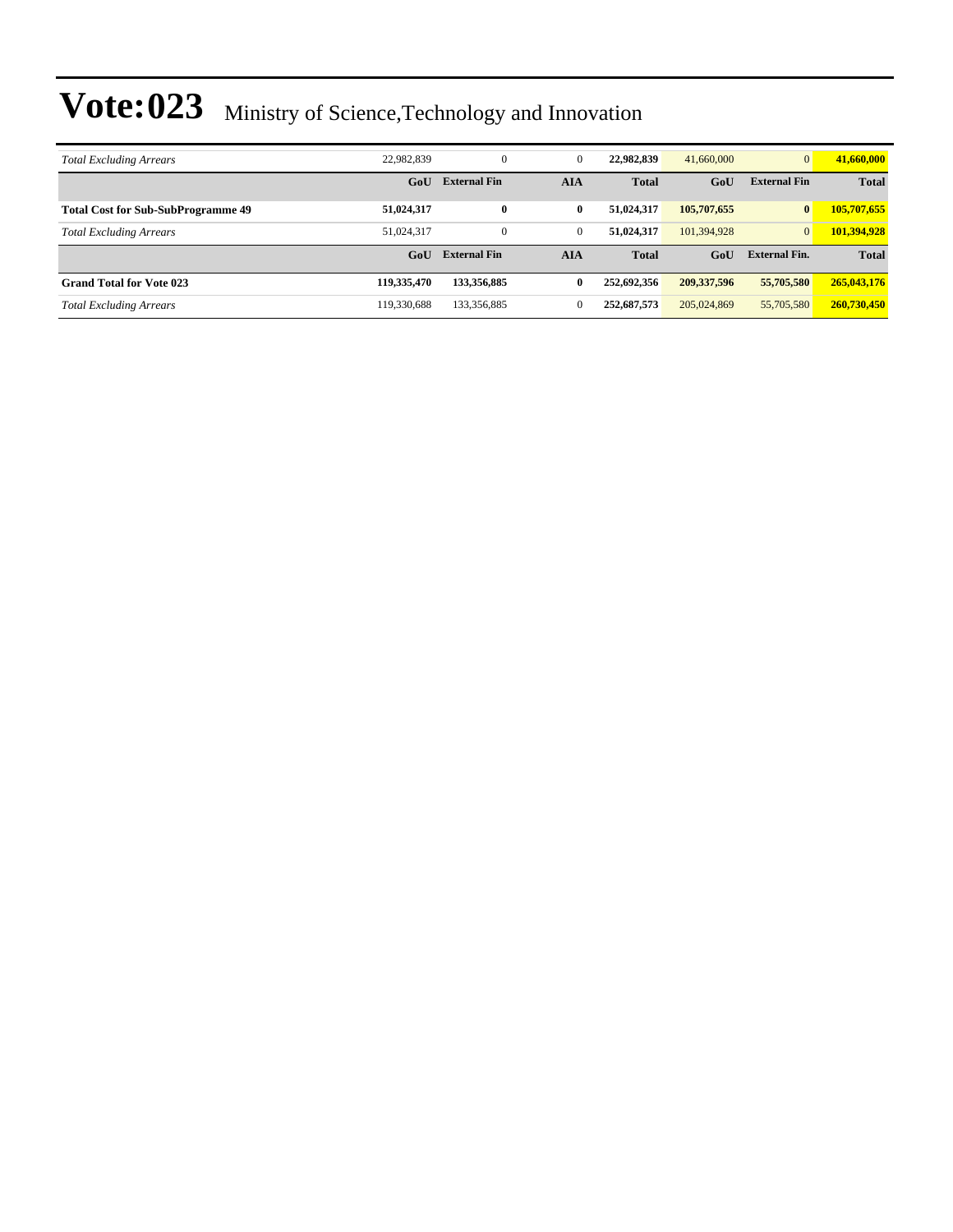| <b>Total Excluding Arrears</b>            | 22.982.839  | $\mathbf{0}$        | $\mathbf{0}$ | 22,982,839   | 41,660,000    |                      | 41,660,000   |
|-------------------------------------------|-------------|---------------------|--------------|--------------|---------------|----------------------|--------------|
|                                           | GoU         | <b>External Fin</b> | <b>AIA</b>   | <b>Total</b> | GoU           | <b>External Fin</b>  | <b>Total</b> |
| <b>Total Cost for Sub-SubProgramme 49</b> | 51,024,317  | $\bf{0}$            | 0            | 51,024,317   | 105,707,655   | $\bf{0}$             | 105,707,655  |
| <b>Total Excluding Arrears</b>            | 51.024.317  | $\mathbf{0}$        | $\mathbf{0}$ | 51.024.317   | 101,394,928   | $\overline{0}$       | 101,394,928  |
|                                           | GoU         | <b>External Fin</b> | <b>AIA</b>   | <b>Total</b> | GoU           | <b>External Fin.</b> | <b>Total</b> |
| <b>Grand Total for Vote 023</b>           | 119,335,470 | 133,356,885         | 0            | 252,692,356  | 209, 337, 596 | 55,705,580           | 265,043,176  |
| <b>Total Excluding Arrears</b>            | 119.330.688 | 133,356,885         | $\Omega$     | 252,687,573  | 205,024,869   | 55,705,580           | 260,730,450  |